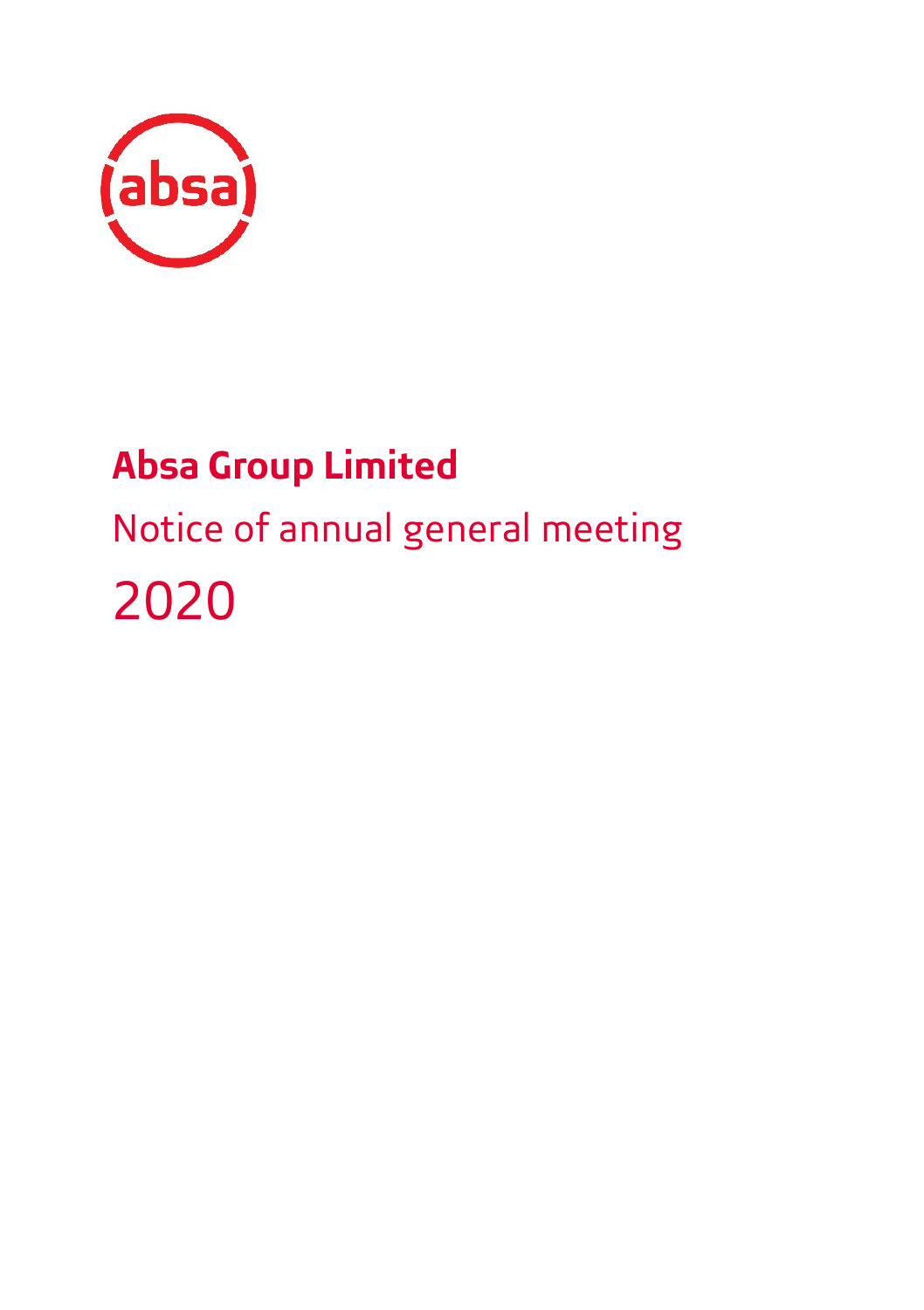

# **Absa Group Limited**

# <span id="page-0-0"></span>Notice of annual general meeting 2020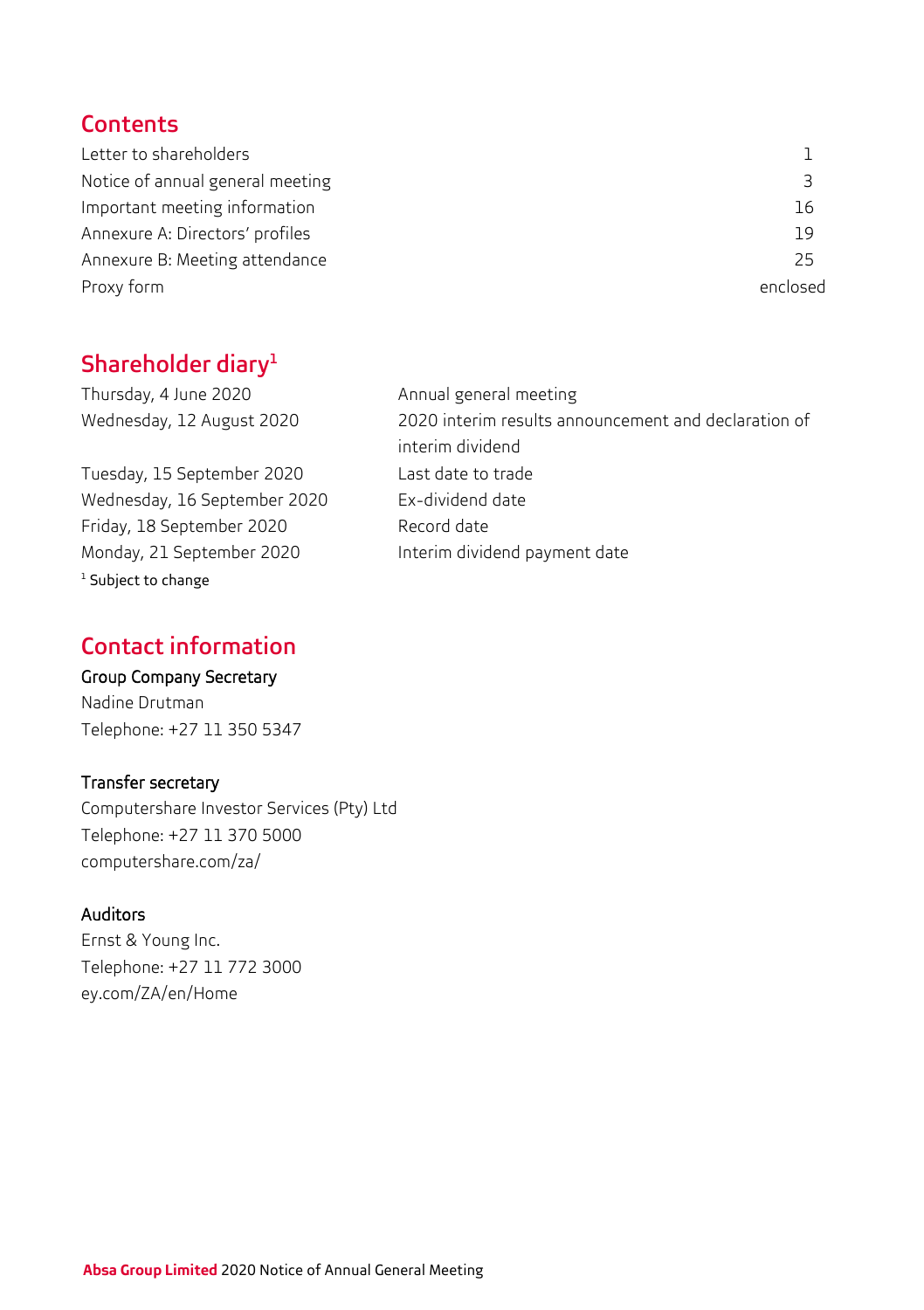## **Contents**

| Letter to shareholders           |          |
|----------------------------------|----------|
| Notice of annual general meeting |          |
| Important meeting information    | 16       |
| Annexure A: Directors' profiles  | 19       |
| Annexure B: Meeting attendance   | 25       |
| Proxy form                       | enclosed |

## Shareholder diary<sup>1</sup>

Thursday, 4 June 2020 Annual general meeting

Tuesday, 15 September 2020 Last date to trade Wednesday, 16 September 2020 Ex-dividend date Friday, 18 September 2020 Record date Monday, 21 September 2020 Interim dividend payment date <sup>1</sup> Subject to change

Wednesday, 12 August 2020 2020 interim results announcement and declaration of interim dividend

## Contact information

## Group Company Secretary

Nadine Drutman Telephone: +27 11 350 5347

### Transfer secretary

Computershare Investor Services (Pty) Ltd Telephone: +27 11 370 5000 computershare.com/za/

## Auditors

Ernst & Young Inc. Telephone: +27 11 772 3000 ey.com/ZA/en/Home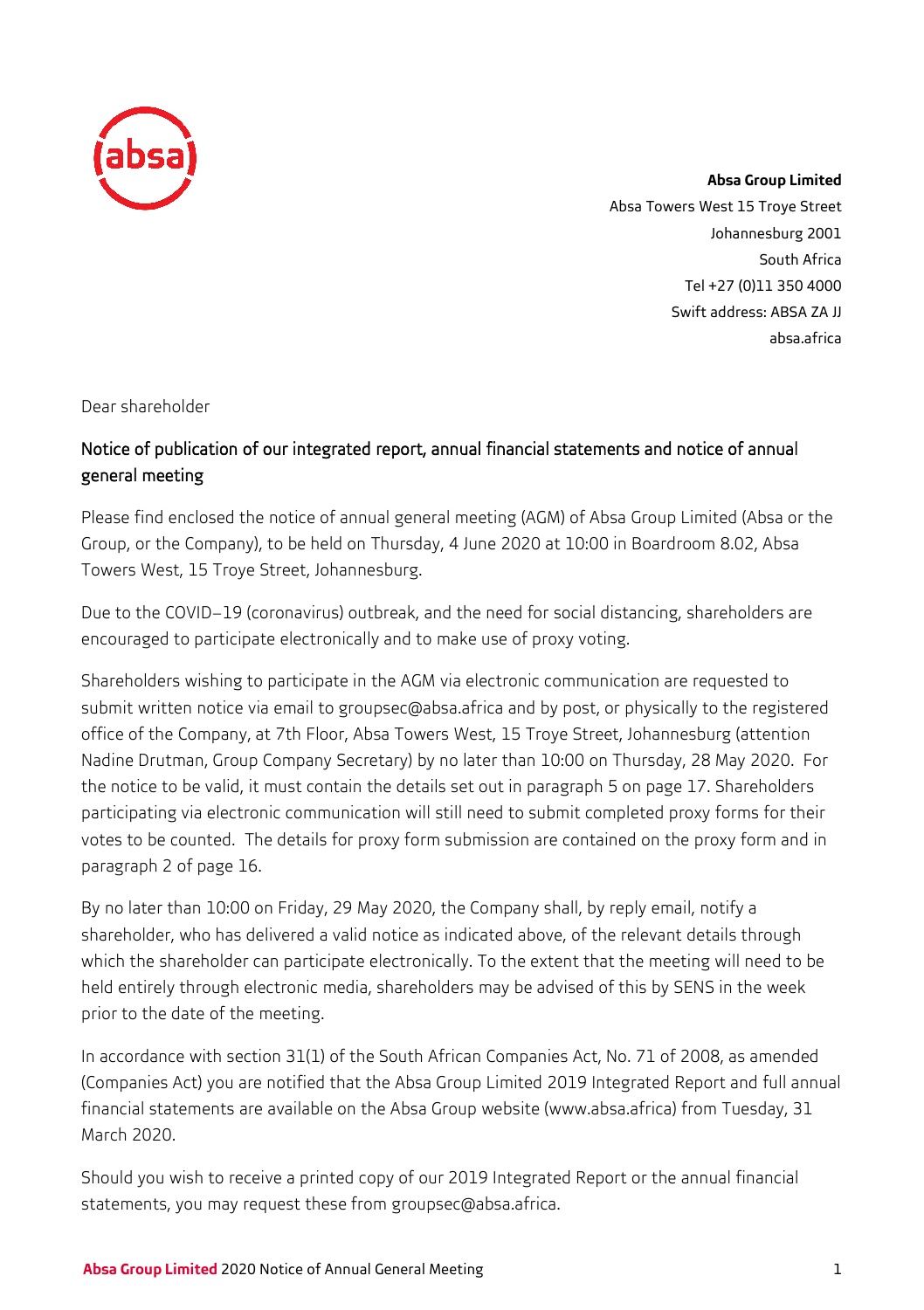

**Absa Group Limited** Absa Towers West 15 Troye Street Johannesburg 2001 South Africa Tel +27 (0)11 350 4000 Swift address: ABSA ZA JJ absa.africa

Dear shareholder

## Notice of publication of our integrated report, annual financial statements and notice of annual general meeting

Please find enclosed the notice of annual general meeting (AGM) of Absa Group Limited (Absa or the Group, or the Company), to be held on Thursday, 4 June 2020 at 10:00 in Boardroom 8.02, Absa Towers West, 15 Troye Street, Johannesburg.

Due to the COVID–19 (coronavirus) outbreak, and the need for social distancing, shareholders are encouraged to participate electronically and to make use of proxy voting.

Shareholders wishing to participate in the AGM via electronic communication are requested to submit written notice via email to [groupsec@absa.africa](mailto:groupsec@absa.africa) and by post, or physically to the registered office of the Company, at 7th Floor, Absa Towers West, 15 Troye Street, Johannesburg (attention Nadine Drutman, Group Company Secretary) by no later than 10:00 on Thursday, 28 May 2020. For the notice to be valid, it must contain the details set out in paragraph 5 on page 17. Shareholders participating via electronic communication will still need to submit completed proxy forms for their votes to be counted. The details for proxy form submission are contained on the proxy form and in paragraph 2 of page 16.

By no later than 10:00 on Friday, 29 May 2020, the Company shall, by reply email, notify a shareholder, who has delivered a valid notice as indicated above, of the relevant details through which the shareholder can participate electronically. To the extent that the meeting will need to be held entirely through electronic media, shareholders may be advised of this by SENS in the week prior to the date of the meeting.

In accordance with section 31(1) of the South African Companies Act, No. 71 of 2008, as amended (Companies Act) you are notified that the Absa Group Limited 2019 Integrated Report and full annual financial statements are available on the Absa Group website [\(www.absa.africa\)](http://www.absa.africa/) from Tuesday, 31 March 2020.

Should you wish to receive a printed copy of our 2019 Integrated Report or the annual financial statements, you may request these from [gr](mailto:groupsec@absa.co.za)[oupsec@absa.africa.](mailto:oupsec@absa.africa.)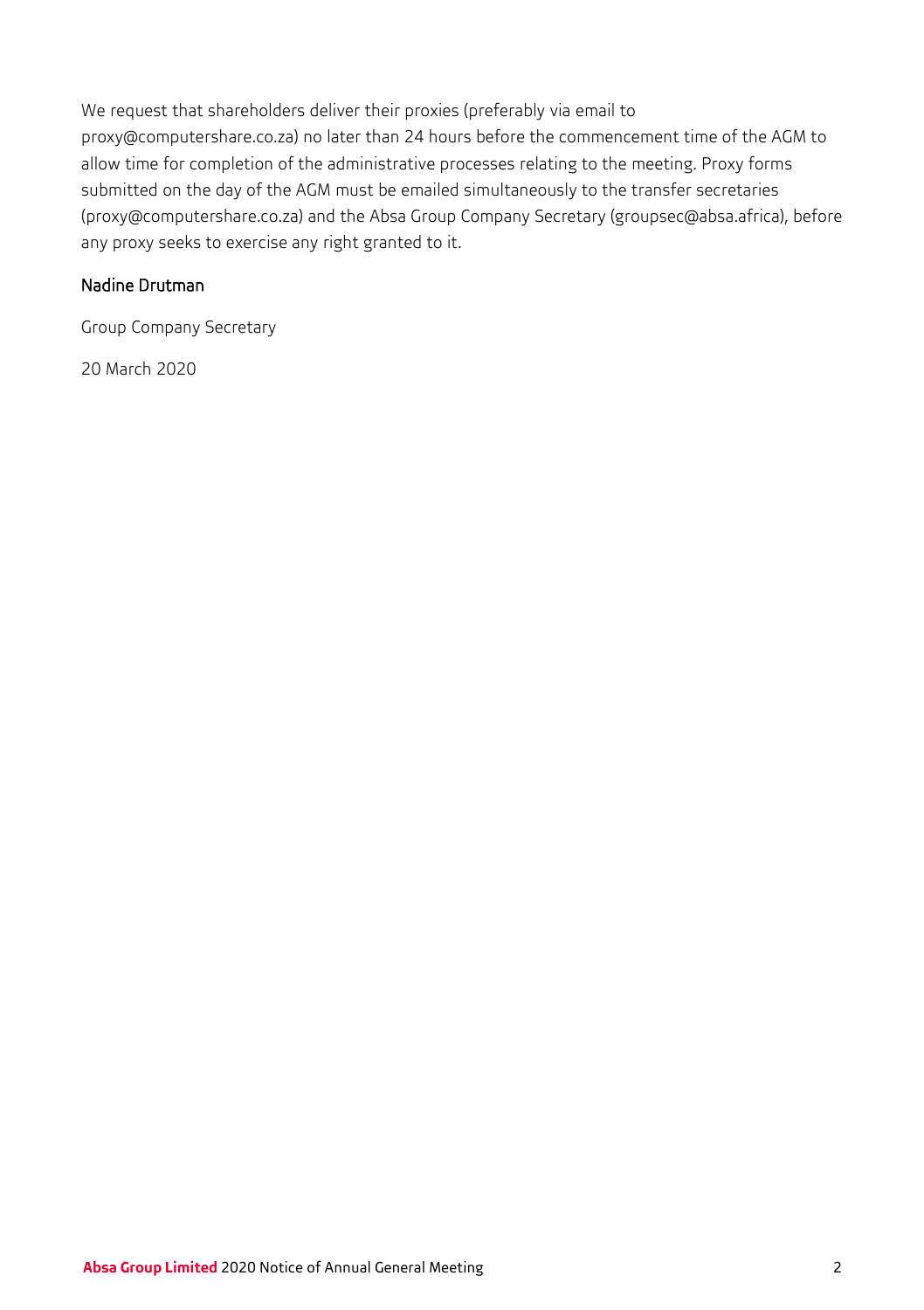We request that shareholders deliver their proxies (preferably via email to [proxy@computershare.co.za\)](mailto:proxy@computershare.co.za) no later than 24 hours before the commencement time of the AGM to allow time for completion of the administrative processes relating to the meeting. Proxy forms submitted on the day of the AGM must be emailed simultaneously to the transfer secretaries [\(proxy@computershare.co.za\)](mailto:proxy@computershare.co.za) and the Absa Group Company Secretary (groupsec@absa.africa), before any proxy seeks to exercise any right granted to it.

## Nadine Drutman

Group Company Secretary

20 March 2020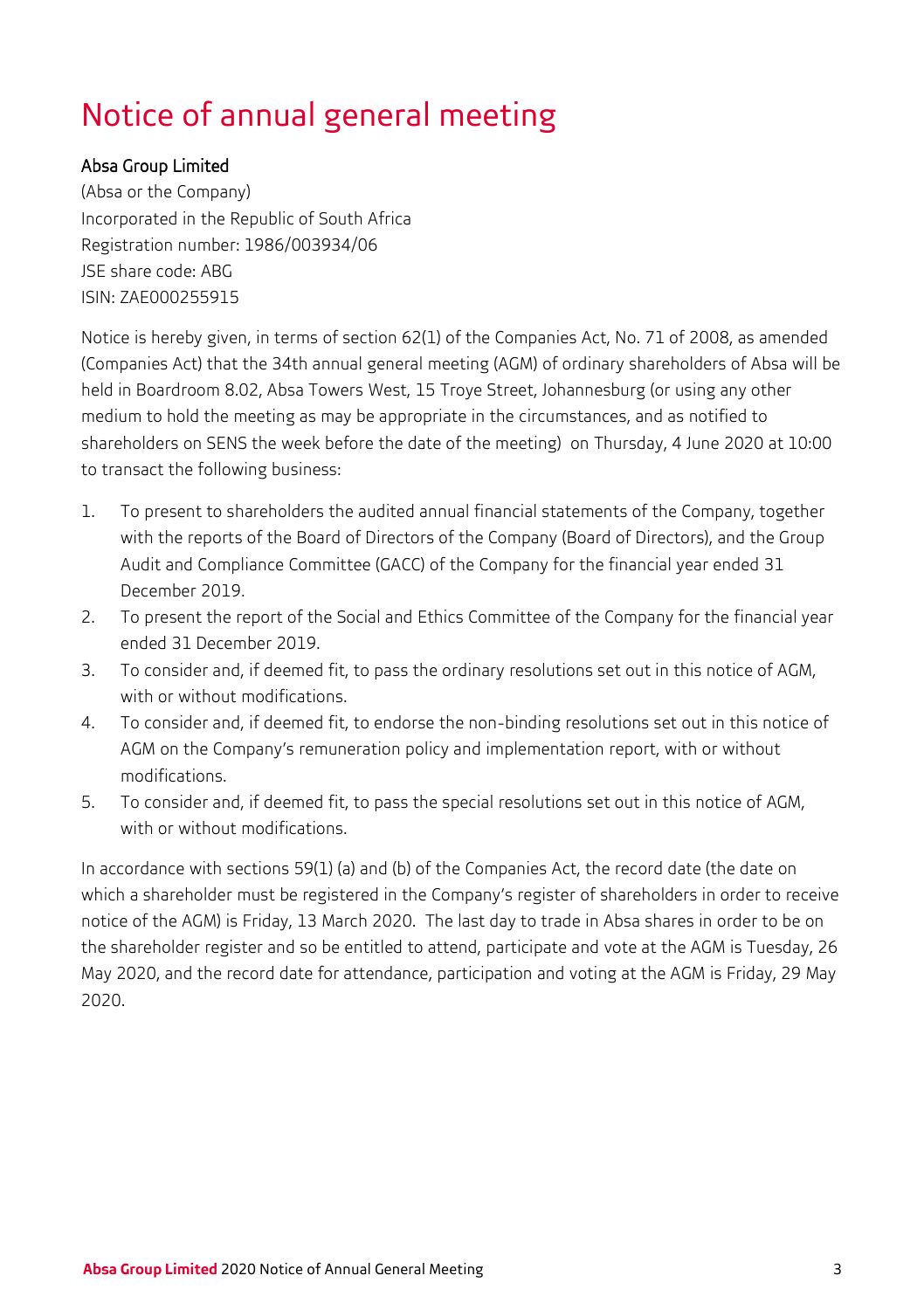# Notice of annual general meeting

### Absa Group Limited

(Absa or the Company) Incorporated in the Republic of South Africa Registration number: 1986/003934/06 JSE share code: ABG ISIN: ZAE000255915

Notice is hereby given, in terms of section 62(1) of the Companies Act, No. 71 of 2008, as amended (Companies Act) that the 34th annual general meeting (AGM) of ordinary shareholders of Absa will be held in Boardroom 8.02, Absa Towers West, 15 Troye Street, Johannesburg (or using any other medium to hold the meeting as may be appropriate in the circumstances, and as notified to shareholders on SENS the week before the date of the meeting) on Thursday, 4 June 2020 at 10:00 to transact the following business:

- 1. To present to shareholders the audited annual financial statements of the Company, together with the reports of the Board of Directors of the Company (Board of Directors), and the Group Audit and Compliance Committee (GACC) of the Company for the financial year ended 31 December 2019.
- 2. To present the report of the Social and Ethics Committee of the Company for the financial year ended 31 December 2019.
- 3. To consider and, if deemed fit, to pass the ordinary resolutions set out in this notice of AGM, with or without modifications.
- 4. To consider and, if deemed fit, to endorse the non-binding resolutions set out in this notice of AGM on the Company's remuneration policy and implementation report, with or without modifications.
- 5. To consider and, if deemed fit, to pass the special resolutions set out in this notice of AGM, with or without modifications.

In accordance with sections 59(1) (a) and (b) of the Companies Act, the record date (the date on which a shareholder must be registered in the Company's register of shareholders in order to receive notice of the AGM) is Friday, 13 March 2020. The last day to trade in Absa shares in order to be on the shareholder register and so be entitled to attend, participate and vote at the AGM is Tuesday, 26 May 2020, and the record date for attendance, participation and voting at the AGM is Friday, 29 May 2020.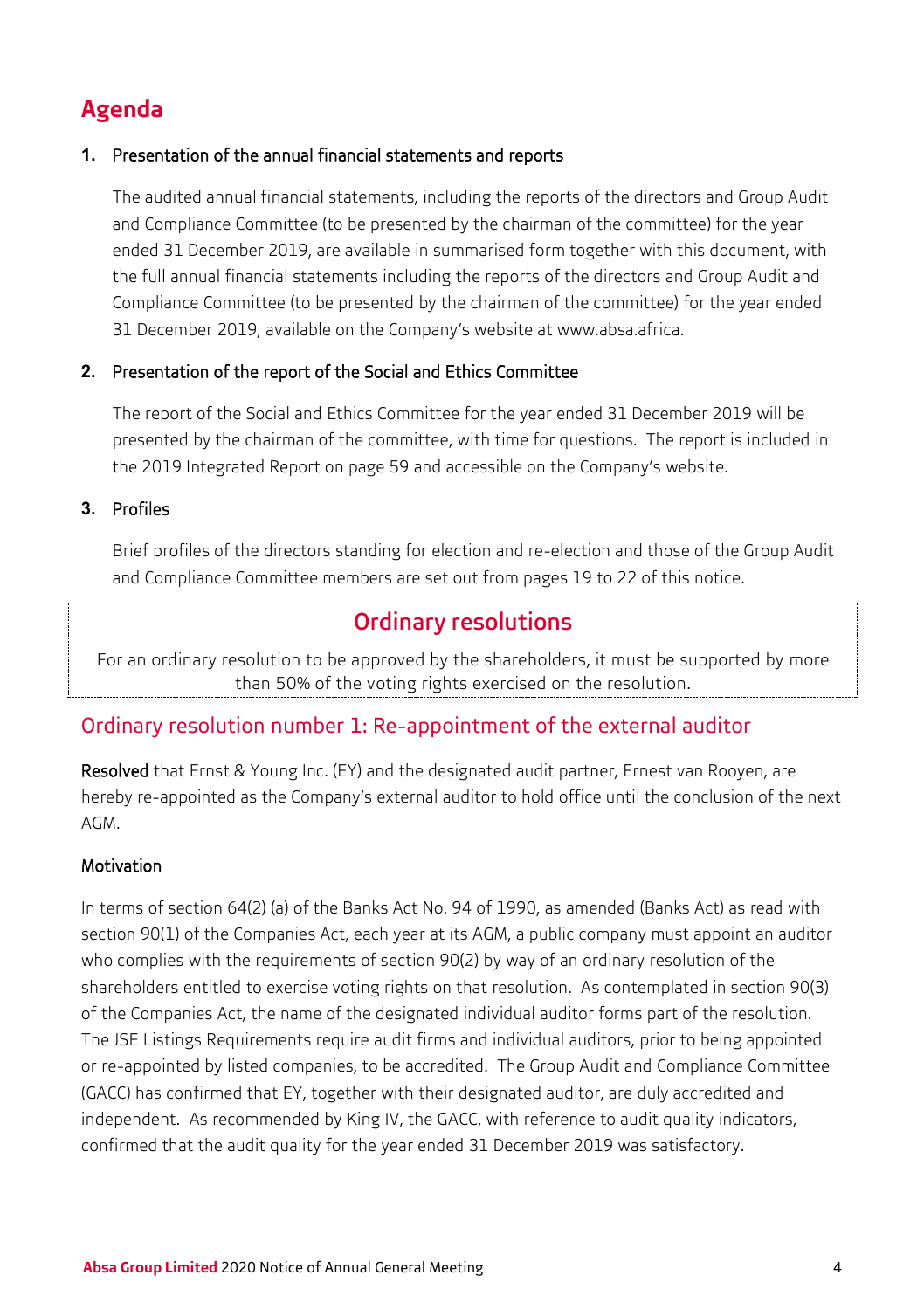## **Agenda**

#### **1.** Presentation of the annual financial statements and reports

The audited annual financial statements, including the reports of the directors and Group Audit and Compliance Committee (to be presented by the chairman of the committee) for the year ended 31 December 2019, are available in summarised form together with this document, with the full annual financial statements including the reports of the directors and Group Audit and Compliance Committee (to be presented by the chairman of the committee) for the year ended 31 December 2019, available on the Company's website a[t www.absa.africa.](http://www.absa.africa/)

#### **2.** Presentation of the report of the Social and Ethics Committee

The report of the Social and Ethics Committee for the year ended 31 December 2019 will be presented by the chairman of the committee, with time for questions. The report is included in the 2019 Integrated Report on page 59 and accessible on the Company's website.

**3.** Profiles

Brief profiles of the directors standing for election and re-election and those of the Group Audit and Compliance Committee members are set out from pages 19 to 22 of this notice.

## Ordinary resolutions

For an ordinary resolution to be approved by the shareholders, it must be supported by more than 50% of the voting rights exercised on the resolution.

## Ordinary resolution number 1: Re-appointment of the external auditor

Resolved that Ernst & Young Inc. (EY) and the designated audit partner, Ernest van Rooyen, are hereby re-appointed as the Company's external auditor to hold office until the conclusion of the next AGM.

### Motivation

In terms of section 64(2) (a) of the Banks Act No. 94 of 1990, as amended (Banks Act) as read with section 90(1) of the Companies Act, each year at its AGM, a public company must appoint an auditor who complies with the requirements of section 90(2) by way of an ordinary resolution of the shareholders entitled to exercise voting rights on that resolution. As contemplated in section 90(3) of the Companies Act, the name of the designated individual auditor forms part of the resolution. The JSE Listings Requirements require audit firms and individual auditors, prior to being appointed or re-appointed by listed companies, to be accredited. The Group Audit and Compliance Committee (GACC) has confirmed that EY, together with their designated auditor, are duly accredited and independent. As recommended by King IV, the GACC, with reference to audit quality indicators, confirmed that the audit quality for the year ended 31 December 2019 was satisfactory.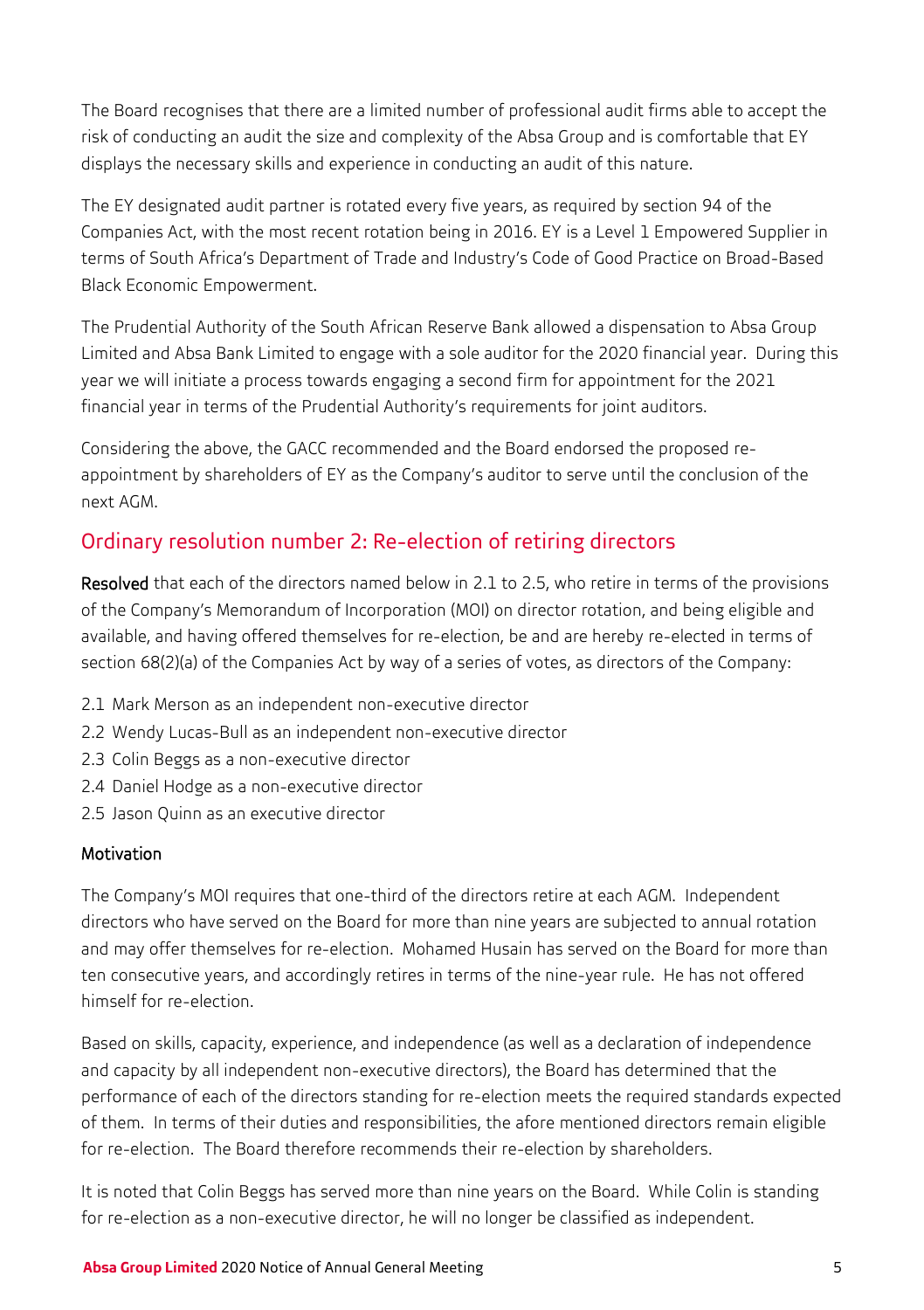The Board recognises that there are a limited number of professional audit firms able to accept the risk of conducting an audit the size and complexity of the Absa Group and is comfortable that EY displays the necessary skills and experience in conducting an audit of this nature.

The EY designated audit partner is rotated every five years, as required by section 94 of the Companies Act, with the most recent rotation being in 2016. EY is a Level 1 Empowered Supplier in terms of South Africa's Department of Trade and Industry's Code of Good Practice on Broad-Based Black Economic Empowerment.

The Prudential Authority of the South African Reserve Bank allowed a dispensation to Absa Group Limited and Absa Bank Limited to engage with a sole auditor for the 2020 financial year. During this year we will initiate a process towards engaging a second firm for appointment for the 2021 financial year in terms of the Prudential Authority's requirements for joint auditors.

Considering the above, the GACC recommended and the Board endorsed the proposed reappointment by shareholders of EY as the Company's auditor to serve until the conclusion of the next AGM.

## Ordinary resolution number 2: Re-election of retiring directors

Resolved that each of the directors named below in 2.1 to 2.5, who retire in terms of the provisions of the Company's Memorandum of Incorporation (MOI) on director rotation, and being eligible and available, and having offered themselves for re-election, be and are hereby re-elected in terms of section 68(2)(a) of the Companies Act by way of a series of votes, as directors of the Company:

- 2.1 Mark Merson as an independent non-executive director
- 2.2 Wendy Lucas-Bull as an independent non-executive director
- 2.3 Colin Beggs as a non-executive director
- 2.4 Daniel Hodge as a non-executive director
- 2.5 Jason Quinn as an executive director

### Motivation

The Company's MOI requires that one-third of the directors retire at each AGM. Independent directors who have served on the Board for more than nine years are subjected to annual rotation and may offer themselves for re-election. Mohamed Husain has served on the Board for more than ten consecutive years, and accordingly retires in terms of the nine-year rule. He has not offered himself for re-election.

Based on skills, capacity, experience, and independence (as well as a declaration of independence and capacity by all independent non-executive directors), the Board has determined that the performance of each of the directors standing for re-election meets the required standards expected of them. In terms of their duties and responsibilities, the afore mentioned directors remain eligible for re-election. The Board therefore recommends their re-election by shareholders.

It is noted that Colin Beggs has served more than nine years on the Board. While Colin is standing for re-election as a non-executive director, he will no longer be classified as independent.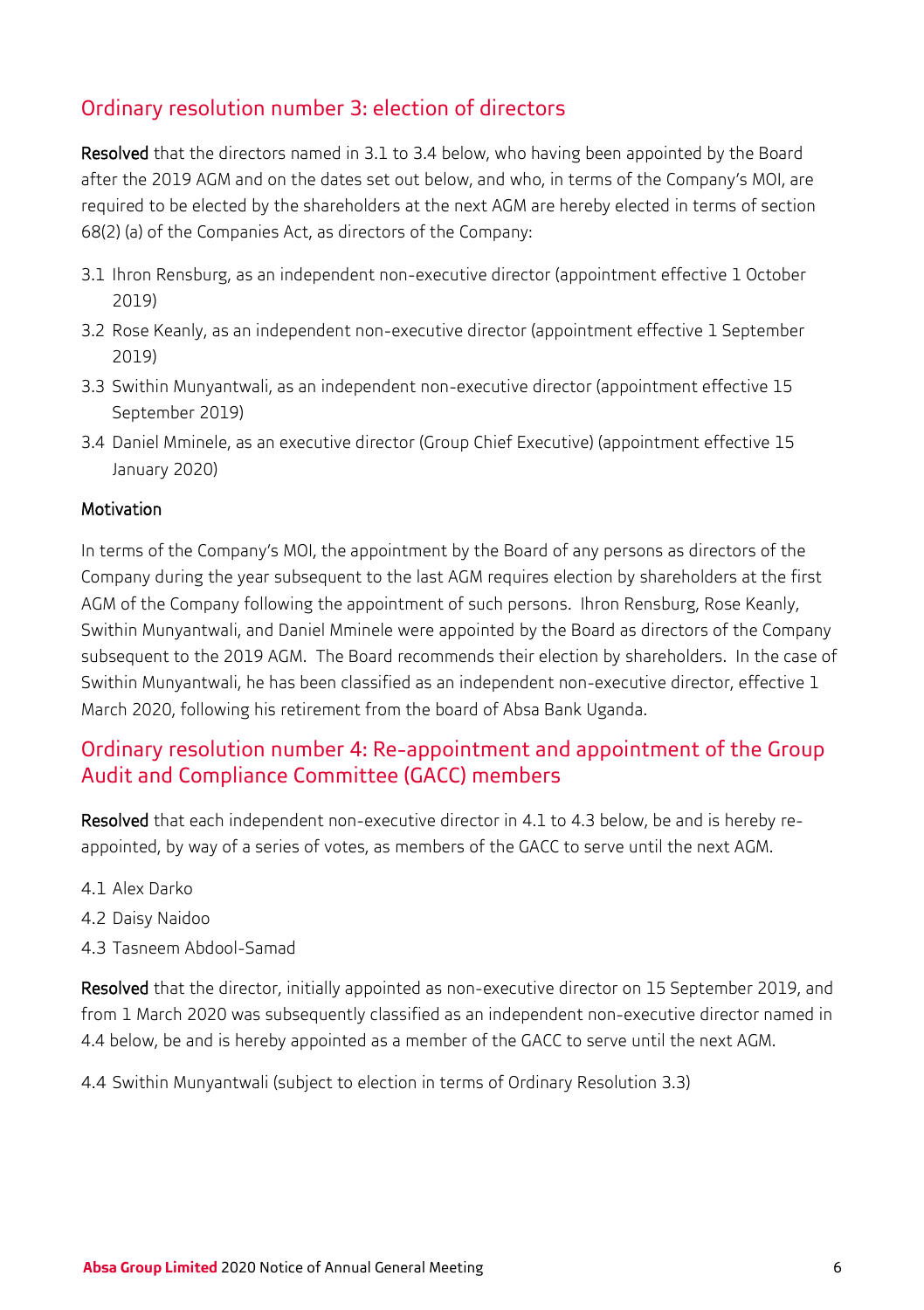## Ordinary resolution number 3: election of directors

Resolved that the directors named in 3.1 to 3.4 below, who having been appointed by the Board after the 2019 AGM and on the dates set out below, and who, in terms of the Company's MOI, are required to be elected by the shareholders at the next AGM are hereby elected in terms of section 68(2) (a) of the Companies Act, as directors of the Company:

- 3.1 Ihron Rensburg, as an independent non-executive director (appointment effective 1 October 2019)
- 3.2 Rose Keanly, as an independent non-executive director (appointment effective 1 September 2019)
- 3.3 Swithin Munyantwali, as an independent non-executive director (appointment effective 15 September 2019)
- 3.4 Daniel Mminele, as an executive director (Group Chief Executive) (appointment effective 15 January 2020)

#### Motivation

In terms of the Company's MOI, the appointment by the Board of any persons as directors of the Company during the year subsequent to the last AGM requires election by shareholders at the first AGM of the Company following the appointment of such persons. Ihron Rensburg, Rose Keanly, Swithin Munyantwali, and Daniel Mminele were appointed by the Board as directors of the Company subsequent to the 2019 AGM. The Board recommends their election by shareholders. In the case of Swithin Munyantwali, he has been classified as an independent non-executive director, effective 1 March 2020, following his retirement from the board of Absa Bank Uganda.

## Ordinary resolution number 4: Re-appointment and appointment of the Group Audit and Compliance Committee (GACC) members

Resolved that each independent non-executive director in 4.1 to 4.3 below, be and is hereby reappointed, by way of a series of votes, as members of the GACC to serve until the next AGM.

- 4.1 Alex Darko
- 4.2 Daisy Naidoo
- 4.3 Tasneem Abdool-Samad

Resolved that the director, initially appointed as non-executive director on 15 September 2019, and from 1 March 2020 was subsequently classified as an independent non-executive director named in 4.4 below, be and is hereby appointed as a member of the GACC to serve until the next AGM.

4.4 Swithin Munyantwali (subject to election in terms of Ordinary Resolution 3.3)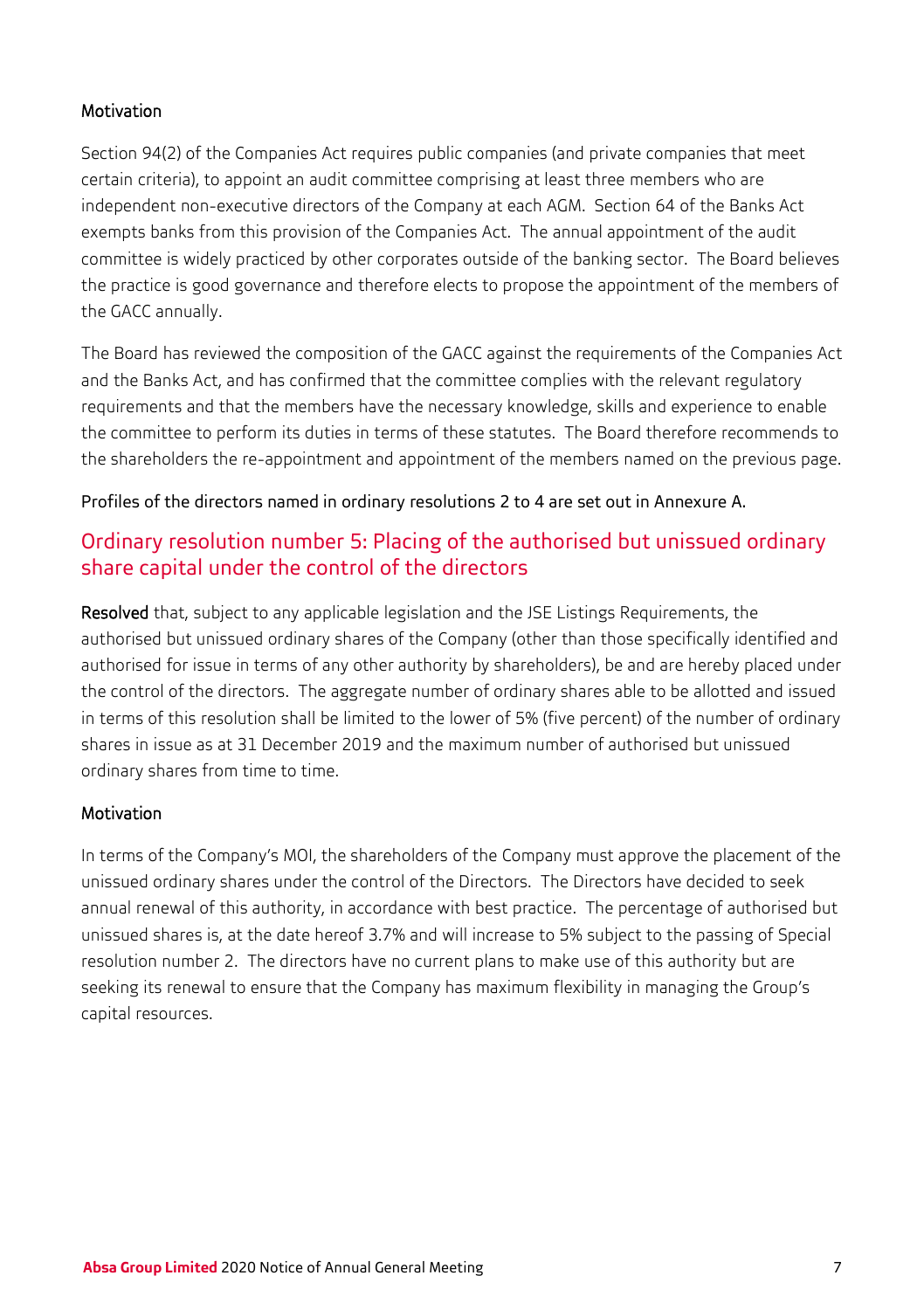#### Motivation

Section 94(2) of the Companies Act requires public companies (and private companies that meet certain criteria), to appoint an audit committee comprising at least three members who are independent non-executive directors of the Company at each AGM. Section 64 of the Banks Act exempts banks from this provision of the Companies Act. The annual appointment of the audit committee is widely practiced by other corporates outside of the banking sector. The Board believes the practice is good governance and therefore elects to propose the appointment of the members of the GACC annually.

The Board has reviewed the composition of the GACC against the requirements of the Companies Act and the Banks Act, and has confirmed that the committee complies with the relevant regulatory requirements and that the members have the necessary knowledge, skills and experience to enable the committee to perform its duties in terms of these statutes. The Board therefore recommends to the shareholders the re-appointment and appointment of the members named on the previous page.

Profiles of the directors named in ordinary resolutions 2 to 4 are set out in Annexure A.

## Ordinary resolution number 5: Placing of the authorised but unissued ordinary share capital under the control of the directors

Resolved that, subject to any applicable legislation and the JSE Listings Requirements, the authorised but unissued ordinary shares of the Company (other than those specifically identified and authorised for issue in terms of any other authority by shareholders), be and are hereby placed under the control of the directors. The aggregate number of ordinary shares able to be allotted and issued in terms of this resolution shall be limited to the lower of 5% (five percent) of the number of ordinary shares in issue as at 31 December 2019 and the maximum number of authorised but unissued ordinary shares from time to time.

### Motivation

In terms of the Company's MOI, the shareholders of the Company must approve the placement of the unissued ordinary shares under the control of the Directors. The Directors have decided to seek annual renewal of this authority, in accordance with best practice. The percentage of authorised but unissued shares is, at the date hereof 3.7% and will increase to 5% subject to the passing of Special resolution number 2. The directors have no current plans to make use of this authority but are seeking its renewal to ensure that the Company has maximum flexibility in managing the Group's capital resources.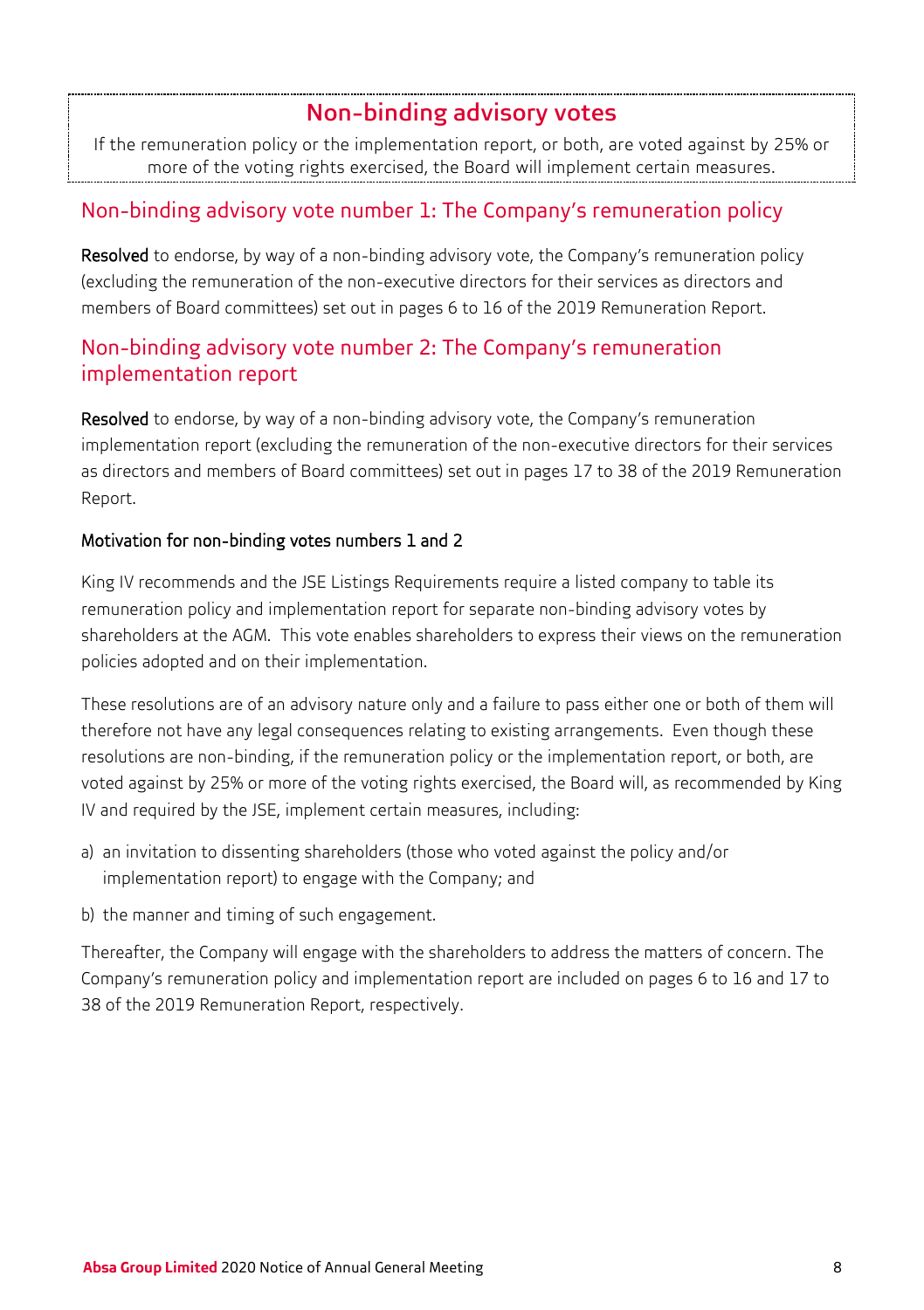## Non-binding advisory votes

If the remuneration policy or the implementation report, or both, are voted against by 25% or more of the voting rights exercised, the Board will implement certain measures.

## Non-binding advisory vote number 1: The Company's remuneration policy

Resolved to endorse, by way of a non-binding advisory vote, the Company's remuneration policy (excluding the remuneration of the non-executive directors for their services as directors and members of Board committees) set out in pages 6 to 16 of the 2019 Remuneration Report.

## Non-binding advisory vote number 2: The Company's remuneration implementation report

Resolved to endorse, by way of a non-binding advisory vote, the Company's remuneration implementation report (excluding the remuneration of the non-executive directors for their services as directors and members of Board committees) set out in pages 17 to 38 of the 2019 Remuneration Report.

### Motivation for non-binding votes numbers 1 and 2

King IV recommends and the JSE Listings Requirements require a listed company to table its remuneration policy and implementation report for separate non-binding advisory votes by shareholders at the AGM. This vote enables shareholders to express their views on the remuneration policies adopted and on their implementation.

These resolutions are of an advisory nature only and a failure to pass either one or both of them will therefore not have any legal consequences relating to existing arrangements. Even though these resolutions are non-binding, if the remuneration policy or the implementation report, or both, are voted against by 25% or more of the voting rights exercised, the Board will, as recommended by King IV and required by the JSE, implement certain measures, including:

- a) an invitation to dissenting shareholders (those who voted against the policy and/or implementation report) to engage with the Company; and
- b) the manner and timing of such engagement.

Thereafter, the Company will engage with the shareholders to address the matters of concern. The Company's remuneration policy and implementation report are included on pages 6 to 16 and 17 to 38 of the 2019 Remuneration Report, respectively.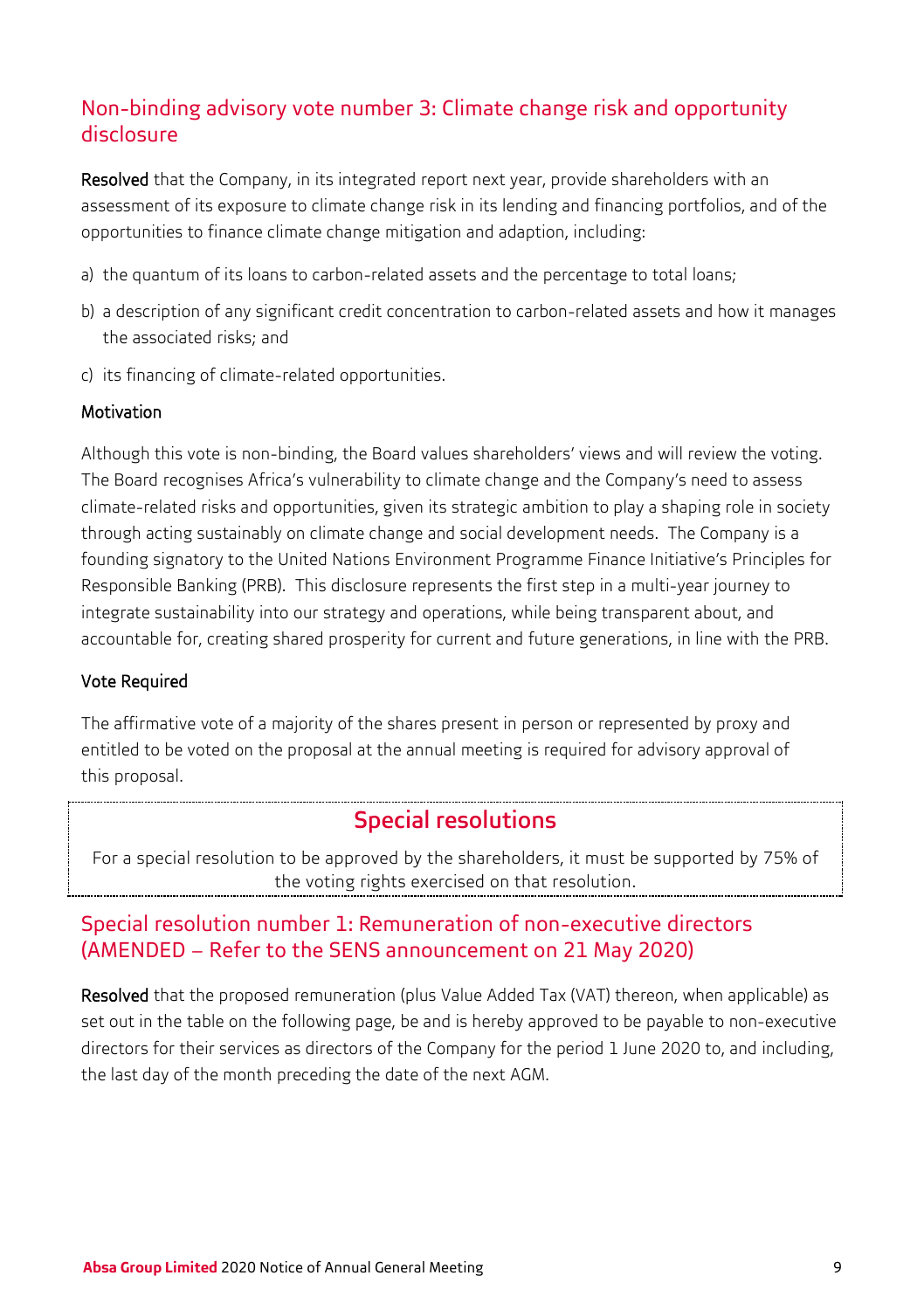## Non-binding advisory vote number 3: Climate change risk and opportunity disclosure

Resolved that the Company, in its integrated report next year, provide shareholders with an assessment of its exposure to climate change risk in its lending and financing portfolios, and of the opportunities to finance climate change mitigation and adaption, including:

- a) the quantum of its loans to carbon-related assets and the percentage to total loans;
- b) a description of any significant credit concentration to carbon-related assets and how it manages the associated risks; and
- c) its financing of climate-related opportunities.

#### Motivation

Although this vote is non-binding, the Board values shareholders' views and will review the voting. The Board recognises Africa's vulnerability to climate change and the Company's need to assess climate-related risks and opportunities, given its strategic ambition to play a shaping role in society through acting sustainably on climate change and social development needs. The Company is a founding signatory to the United Nations Environment Programme Finance Initiative's Principles for Responsible Banking (PRB). This disclosure represents the first step in a multi-year journey to integrate sustainability into our strategy and operations, while being transparent about, and accountable for, creating shared prosperity for current and future generations, in line with the PRB.

#### Vote Required

The affirmative vote of a majority of the shares present in person or represented by proxy and entitled to be voted on the proposal at the annual meeting is required for advisory approval of this proposal.

## Special resolutions

For a special resolution to be approved by the shareholders, it must be supported by 75% of the voting rights exercised on that resolution.

## Special resolution number 1: Remuneration of non-executive directors (AMENDED – Refer to the SENS announcement on 21 May 2020)

Resolved that the proposed remuneration (plus Value Added Tax (VAT) thereon, when applicable) as set out in the table on the following page, be and is hereby approved to be payable to non-executive directors for their services as directors of the Company for the period 1 June 2020 to, and including, the last day of the month preceding the date of the next AGM.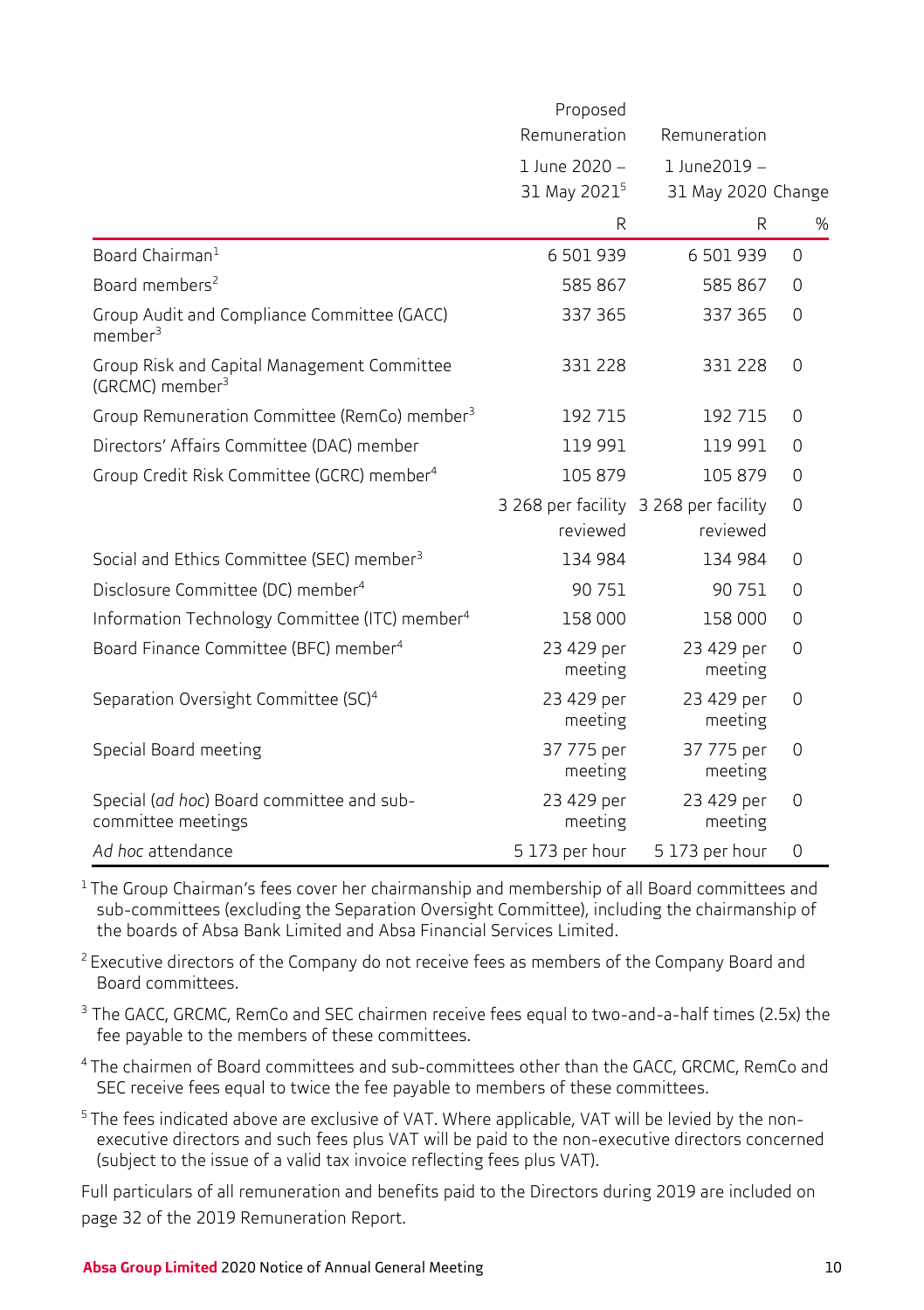|                                                                            | Proposed<br>Remuneration                  | Remuneration                          |          |
|----------------------------------------------------------------------------|-------------------------------------------|---------------------------------------|----------|
|                                                                            | 1 June 2020 -<br>31 May 2021 <sup>5</sup> | 1 June2019 -<br>31 May 2020 Change    |          |
|                                                                            | R                                         | R                                     | %        |
| Board Chairman <sup>1</sup>                                                | 6 501 939                                 | 6 501 939                             | 0        |
| Board members <sup>2</sup>                                                 | 585 867                                   | 585 867                               | $\Omega$ |
| Group Audit and Compliance Committee (GACC)<br>$m$ ember $3$               | 337 365                                   | 337 365                               | $\Omega$ |
| Group Risk and Capital Management Committee<br>(GRCMC) member <sup>3</sup> | 331 228                                   | 331 228                               | $\Omega$ |
| Group Remuneration Committee (RemCo) member <sup>3</sup>                   | 192 715                                   | 192 715                               | 0        |
| Directors' Affairs Committee (DAC) member                                  | 119 991                                   | 119 991                               | $\Omega$ |
| Group Credit Risk Committee (GCRC) member <sup>4</sup>                     | 105 879                                   | 105 879                               | $\Omega$ |
|                                                                            |                                           | 3 268 per facility 3 268 per facility | $\Omega$ |
|                                                                            | reviewed                                  | reviewed                              |          |
| Social and Ethics Committee (SEC) member <sup>3</sup>                      | 134 984                                   | 134 984                               | $\Omega$ |
| Disclosure Committee (DC) member <sup>4</sup>                              | 90 751                                    | 90 751                                | $\Omega$ |
| Information Technology Committee (ITC) member <sup>4</sup>                 | 158 000                                   | 158 000                               | $\Omega$ |
| Board Finance Committee (BFC) member <sup>4</sup>                          | 23 429 per<br>meeting                     | 23 429 per<br>meeting                 | $\Omega$ |
| Separation Oversight Committee (SC) <sup>4</sup>                           | 23 429 per<br>meeting                     | 23 429 per<br>meeting                 | 0        |
| Special Board meeting                                                      | 37 775 per<br>meeting                     | 37 775 per<br>meeting                 | 0        |
| Special (ad hoc) Board committee and sub-<br>committee meetings            | 23 429 per<br>meeting                     | 23 429 per<br>meeting                 | 0        |
| Ad hoc attendance                                                          | 5 173 per hour                            | 5 173 per hour                        | 0        |

<sup>1</sup> The Group Chairman's fees cover her chairmanship and membership of all Board committees and sub-committees (excluding the Separation Oversight Committee), including the chairmanship of the boards of Absa Bank Limited and Absa Financial Services Limited.

<sup>2</sup> Executive directors of the Company do not receive fees as members of the Company Board and Board committees.

- <sup>3</sup> The GACC, GRCMC, RemCo and SEC chairmen receive fees equal to two-and-a-half times (2.5x) the fee payable to the members of these committees.
- 4 The chairmen of Board committees and sub-committees other than the GACC, GRCMC, RemCo and SEC receive fees equal to twice the fee payable to members of these committees.
- 5 The fees indicated above are exclusive of VAT. Where applicable, VAT will be levied by the nonexecutive directors and such fees plus VAT will be paid to the non-executive directors concerned (subject to the issue of a valid tax invoice reflecting fees plus VAT).

Full particulars of all remuneration and benefits paid to the Directors during 2019 are included on page 32 of the 2019 Remuneration Report.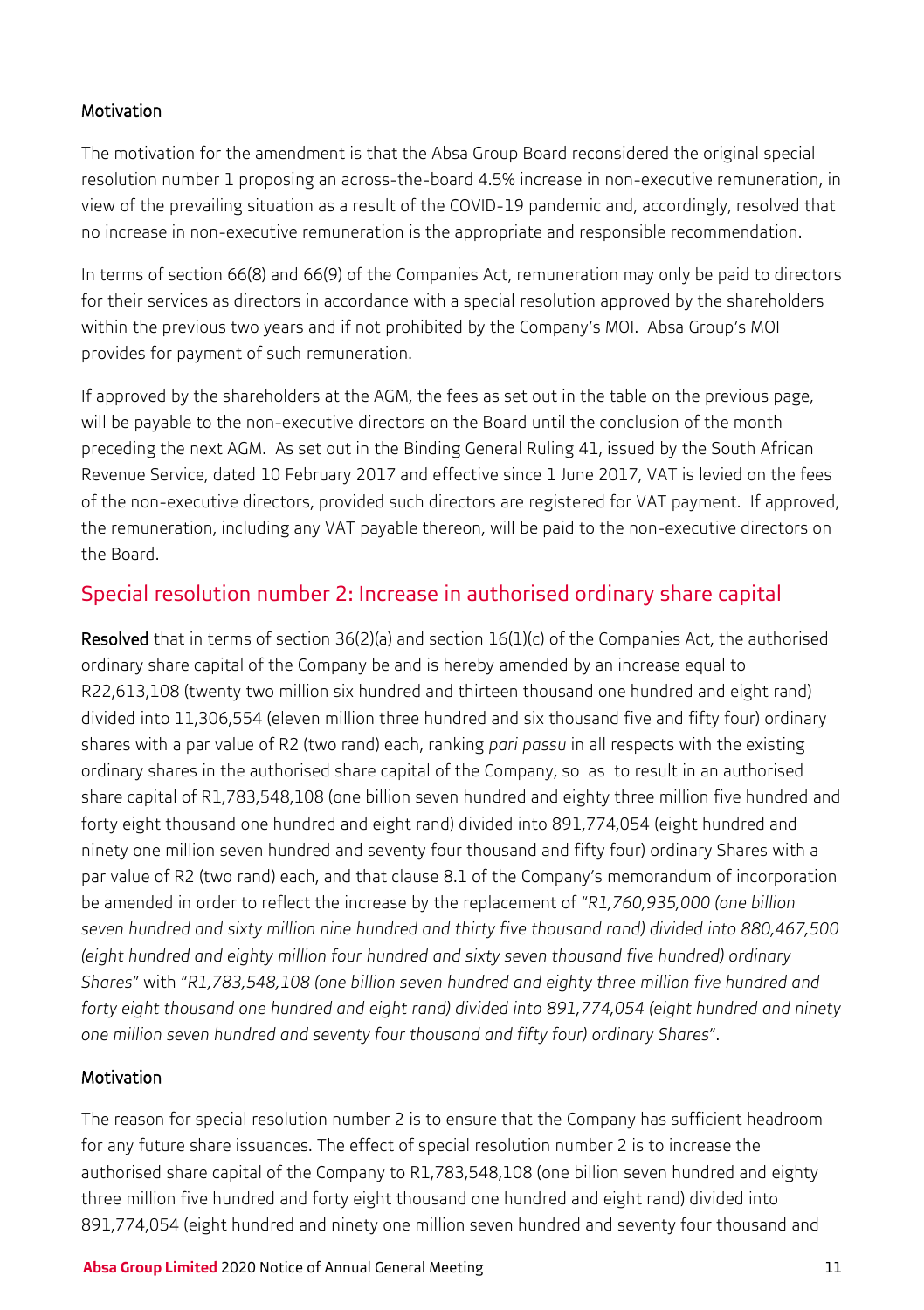#### Motivation

The motivation for the amendment is that the Absa Group Board reconsidered the original special resolution number 1 proposing an across-the-board 4.5% increase in non-executive remuneration, in view of the prevailing situation as a result of the COVID-19 pandemic and, accordingly, resolved that no increase in non-executive remuneration is the appropriate and responsible recommendation.

In terms of section 66(8) and 66(9) of the Companies Act, remuneration may only be paid to directors for their services as directors in accordance with a special resolution approved by the shareholders within the previous two years and if not prohibited by the Company's MOI. Absa Group's MOI provides for payment of such remuneration.

If approved by the shareholders at the AGM, the fees as set out in the table on the previous page, will be payable to the non-executive directors on the Board until the conclusion of the month preceding the next AGM. As set out in the Binding General Ruling 41, issued by the South African Revenue Service, dated 10 February 2017 and effective since 1 June 2017, VAT is levied on the fees of the non-executive directors, provided such directors are registered for VAT payment. If approved, the remuneration, including any VAT payable thereon, will be paid to the non-executive directors on the Board.

## Special resolution number 2: Increase in authorised ordinary share capital

Resolved that in terms of section 36(2)(a) and section 16(1)(c) of the Companies Act, the authorised ordinary share capital of the Company be and is hereby amended by an increase equal to R22,613,108 (twenty two million six hundred and thirteen thousand one hundred and eight rand) divided into 11,306,554 (eleven million three hundred and six thousand five and fifty four) ordinary shares with a par value of R2 (two rand) each, ranking *pari passu* in all respects with the existing ordinary shares in the authorised share capital of the Company, so as to result in an authorised share capital of R1,783,548,108 (one billion seven hundred and eighty three million five hundred and forty eight thousand one hundred and eight rand) divided into 891,774,054 (eight hundred and ninety one million seven hundred and seventy four thousand and fifty four) ordinary Shares with a par value of R2 (two rand) each, and that clause 8.1 of the Company's memorandum of incorporation be amended in order to reflect the increase by the replacement of "*R1,760,935,000 (one billion seven hundred and sixty million nine hundred and thirty five thousand rand) divided into 880,467,500 (eight hundred and eighty million four hundred and sixty seven thousand five hundred) ordinary Shares*" with "*R1,783,548,108 (one billion seven hundred and eighty three million five hundred and forty eight thousand one hundred and eight rand) divided into 891,774,054 (eight hundred and ninety one million seven hundred and seventy four thousand and fifty four) ordinary Shares*".

### Motivation

The reason for special resolution number 2 is to ensure that the Company has sufficient headroom for any future share issuances. The effect of special resolution number 2 is to increase the authorised share capital of the Company to R1,783,548,108 (one billion seven hundred and eighty three million five hundred and forty eight thousand one hundred and eight rand) divided into 891,774,054 (eight hundred and ninety one million seven hundred and seventy four thousand and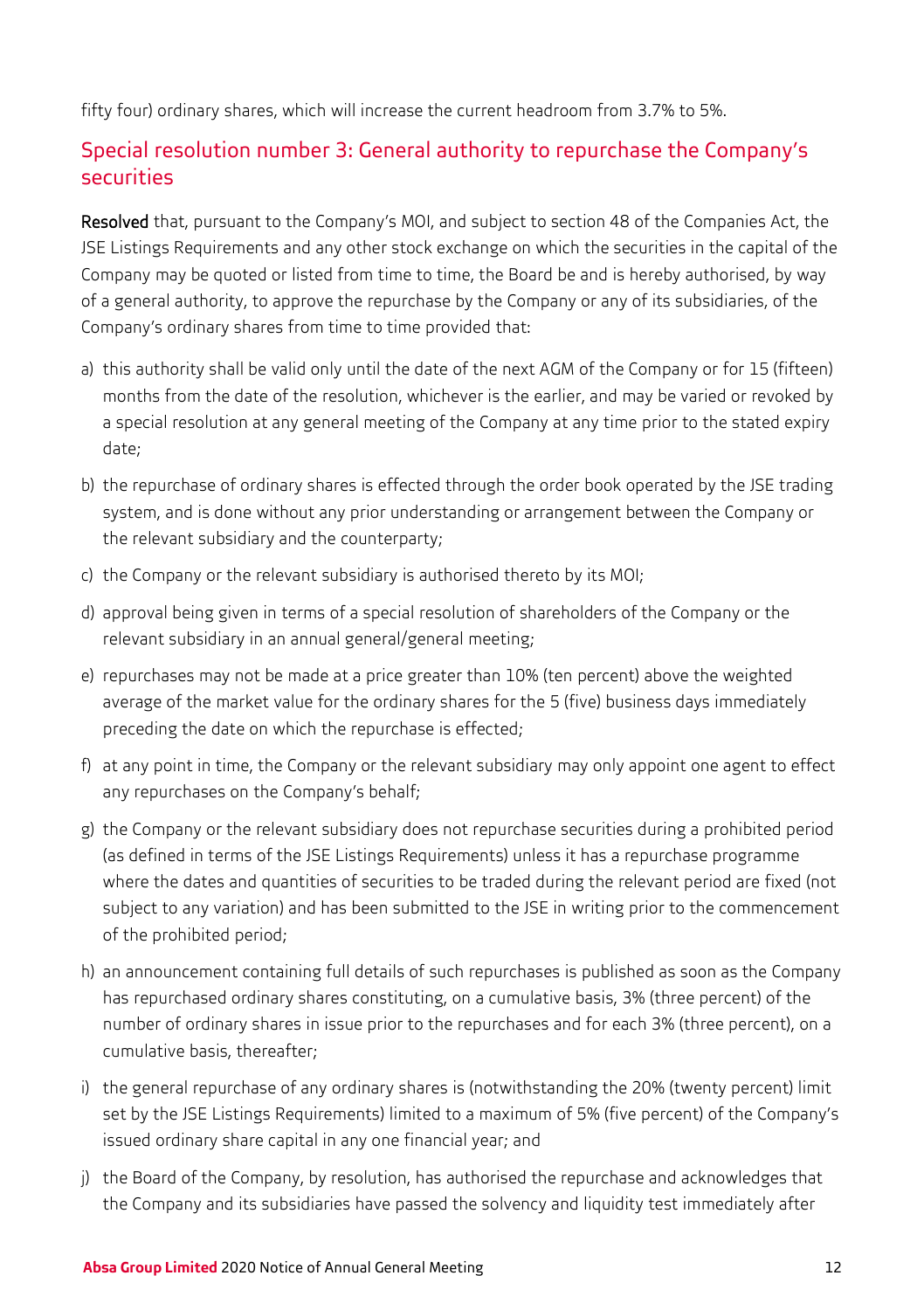fifty four) ordinary shares, which will increase the current headroom from 3.7% to 5%.

## Special resolution number 3: General authority to repurchase the Company's securities

Resolved that, pursuant to the Company's MOI, and subject to section 48 of the Companies Act, the JSE Listings Requirements and any other stock exchange on which the securities in the capital of the Company may be quoted or listed from time to time, the Board be and is hereby authorised, by way of a general authority, to approve the repurchase by the Company or any of its subsidiaries, of the Company's ordinary shares from time to time provided that:

- a) this authority shall be valid only until the date of the next AGM of the Company or for 15 (fifteen) months from the date of the resolution, whichever is the earlier, and may be varied or revoked by a special resolution at any general meeting of the Company at any time prior to the stated expiry date;
- b) the repurchase of ordinary shares is effected through the order book operated by the JSE trading system, and is done without any prior understanding or arrangement between the Company or the relevant subsidiary and the counterparty;
- c) the Company or the relevant subsidiary is authorised thereto by its MOI;
- d) approval being given in terms of a special resolution of shareholders of the Company or the relevant subsidiary in an annual general/general meeting;
- e) repurchases may not be made at a price greater than 10% (ten percent) above the weighted average of the market value for the ordinary shares for the 5 (five) business days immediately preceding the date on which the repurchase is effected;
- f) at any point in time, the Company or the relevant subsidiary may only appoint one agent to effect any repurchases on the Company's behalf;
- g) the Company or the relevant subsidiary does not repurchase securities during a prohibited period (as defined in terms of the JSE Listings Requirements) unless it has a repurchase programme where the dates and quantities of securities to be traded during the relevant period are fixed (not subject to any variation) and has been submitted to the JSE in writing prior to the commencement of the prohibited period;
- h) an announcement containing full details of such repurchases is published as soon as the Company has repurchased ordinary shares constituting, on a cumulative basis, 3% (three percent) of the number of ordinary shares in issue prior to the repurchases and for each 3% (three percent), on a cumulative basis, thereafter;
- i) the general repurchase of any ordinary shares is (notwithstanding the 20% (twenty percent) limit set by the JSE Listings Requirements) limited to a maximum of 5% (five percent) of the Company's issued ordinary share capital in any one financial year; and
- j) the Board of the Company, by resolution, has authorised the repurchase and acknowledges that the Company and its subsidiaries have passed the solvency and liquidity test immediately after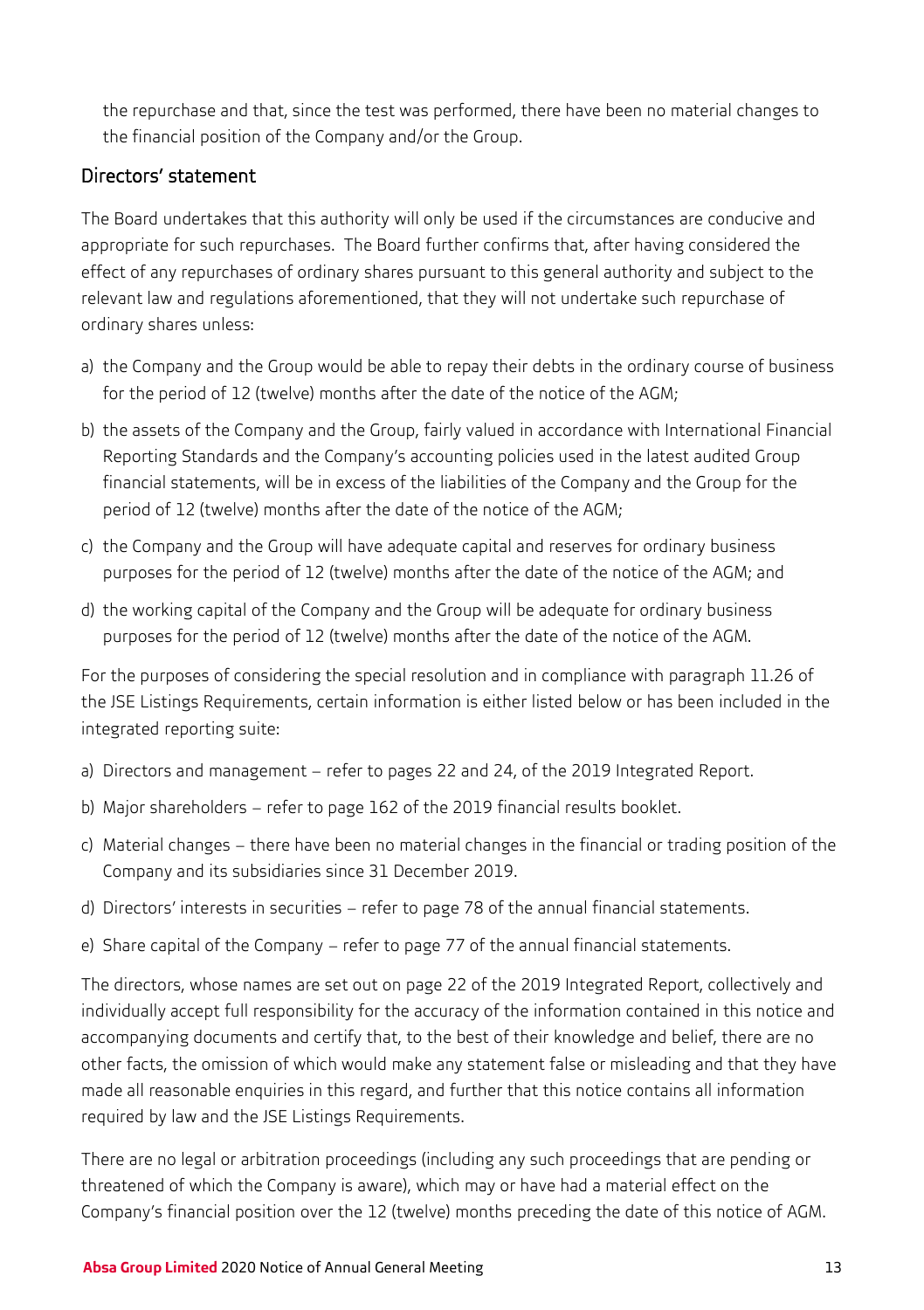the repurchase and that, since the test was performed, there have been no material changes to the financial position of the Company and/or the Group.

## Directors' statement

The Board undertakes that this authority will only be used if the circumstances are conducive and appropriate for such repurchases. The Board further confirms that, after having considered the effect of any repurchases of ordinary shares pursuant to this general authority and subject to the relevant law and regulations aforementioned, that they will not undertake such repurchase of ordinary shares unless:

- a) the Company and the Group would be able to repay their debts in the ordinary course of business for the period of 12 (twelve) months after the date of the notice of the AGM;
- b) the assets of the Company and the Group, fairly valued in accordance with International Financial Reporting Standards and the Company's accounting policies used in the latest audited Group financial statements, will be in excess of the liabilities of the Company and the Group for the period of 12 (twelve) months after the date of the notice of the AGM;
- c) the Company and the Group will have adequate capital and reserves for ordinary business purposes for the period of 12 (twelve) months after the date of the notice of the AGM; and
- d) the working capital of the Company and the Group will be adequate for ordinary business purposes for the period of 12 (twelve) months after the date of the notice of the AGM.

For the purposes of considering the special resolution and in compliance with paragraph 11.26 of the JSE Listings Requirements, certain information is either listed below or has been included in the integrated reporting suite:

- a) Directors and management refer to pages 22 and 24, of the 2019 Integrated Report.
- b) Major shareholders refer to page 162 of the 2019 financial results booklet.
- c) Material changes there have been no material changes in the financial or trading position of the Company and its subsidiaries since 31 December 2019.
- d) Directors' interests in securities refer to page 78 of the annual financial statements.
- e) Share capital of the Company refer to page 77 of the annual financial statements.

The directors, whose names are set out on page 22 of the 2019 Integrated Report, collectively and individually accept full responsibility for the accuracy of the information contained in this notice and accompanying documents and certify that, to the best of their knowledge and belief, there are no other facts, the omission of which would make any statement false or misleading and that they have made all reasonable enquiries in this regard, and further that this notice contains all information required by law and the JSE Listings Requirements.

There are no legal or arbitration proceedings (including any such proceedings that are pending or threatened of which the Company is aware), which may or have had a material effect on the Company's financial position over the 12 (twelve) months preceding the date of this notice of AGM.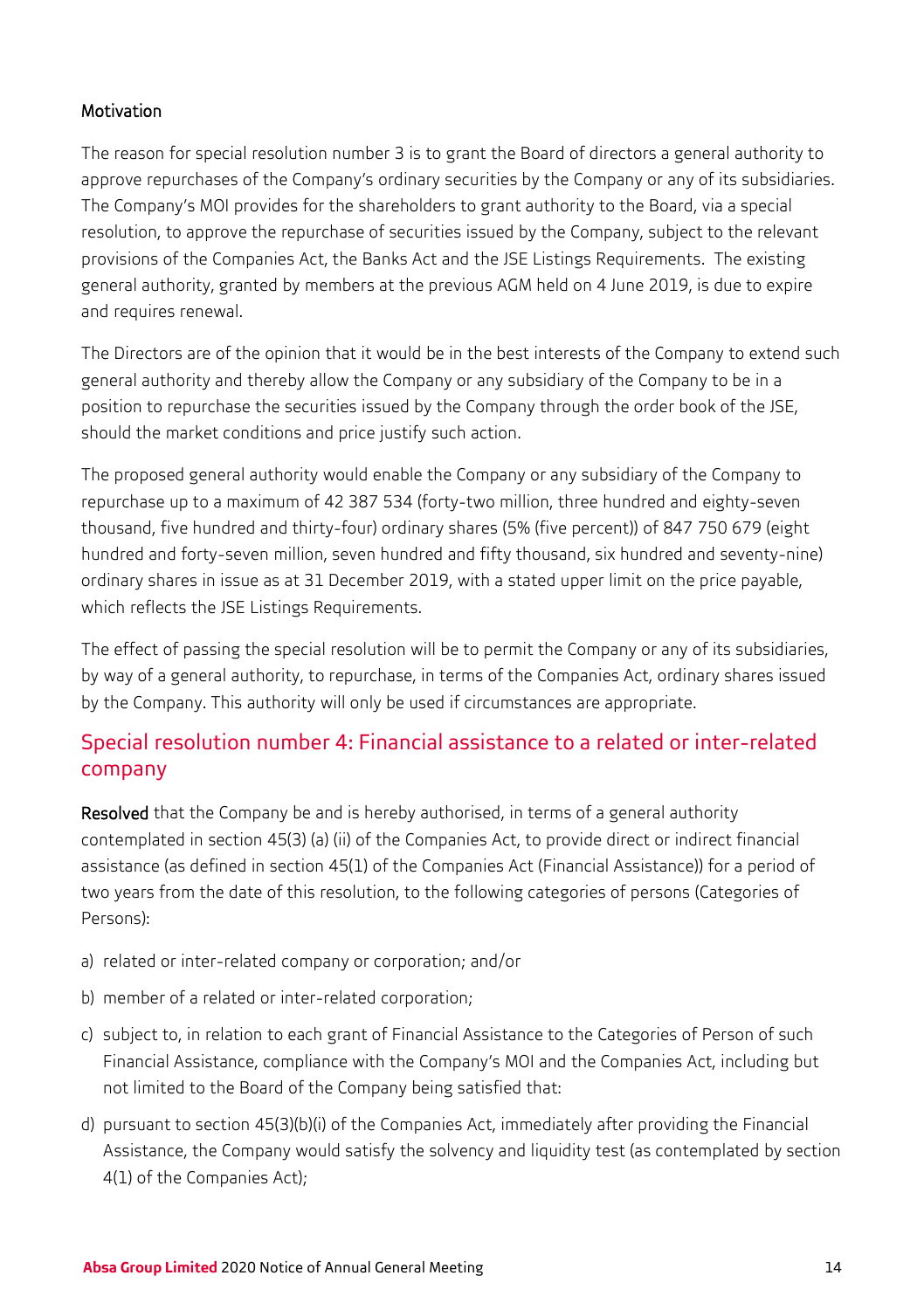#### Motivation

The reason for special resolution number 3 is to grant the Board of directors a general authority to approve repurchases of the Company's ordinary securities by the Company or any of its subsidiaries. The Company's MOI provides for the shareholders to grant authority to the Board, via a special resolution, to approve the repurchase of securities issued by the Company, subject to the relevant provisions of the Companies Act, the Banks Act and the JSE Listings Requirements. The existing general authority, granted by members at the previous AGM held on 4 June 2019, is due to expire and requires renewal.

The Directors are of the opinion that it would be in the best interests of the Company to extend such general authority and thereby allow the Company or any subsidiary of the Company to be in a position to repurchase the securities issued by the Company through the order book of the JSE, should the market conditions and price justify such action.

The proposed general authority would enable the Company or any subsidiary of the Company to repurchase up to a maximum of 42 387 534 (forty-two million, three hundred and eighty-seven thousand, five hundred and thirty-four) ordinary shares (5% (five percent)) of 847 750 679 (eight hundred and forty-seven million, seven hundred and fifty thousand, six hundred and seventy-nine) ordinary shares in issue as at 31 December 2019, with a stated upper limit on the price payable, which reflects the JSE Listings Requirements.

The effect of passing the special resolution will be to permit the Company or any of its subsidiaries, by way of a general authority, to repurchase, in terms of the Companies Act, ordinary shares issued by the Company. This authority will only be used if circumstances are appropriate.

## Special resolution number 4: Financial assistance to a related or inter-related company

Resolved that the Company be and is hereby authorised, in terms of a general authority contemplated in section 45(3) (a) (ii) of the Companies Act, to provide direct or indirect financial assistance (as defined in section 45(1) of the Companies Act (Financial Assistance)) for a period of two years from the date of this resolution, to the following categories of persons (Categories of Persons):

- a) related or inter-related company or corporation; and/or
- b) member of a related or inter-related corporation;
- c) subject to, in relation to each grant of Financial Assistance to the Categories of Person of such Financial Assistance, compliance with the Company's MOI and the Companies Act, including but not limited to the Board of the Company being satisfied that:
- d) pursuant to section 45(3)(b)(i) of the Companies Act, immediately after providing the Financial Assistance, the Company would satisfy the solvency and liquidity test (as contemplated by section 4(1) of the Companies Act);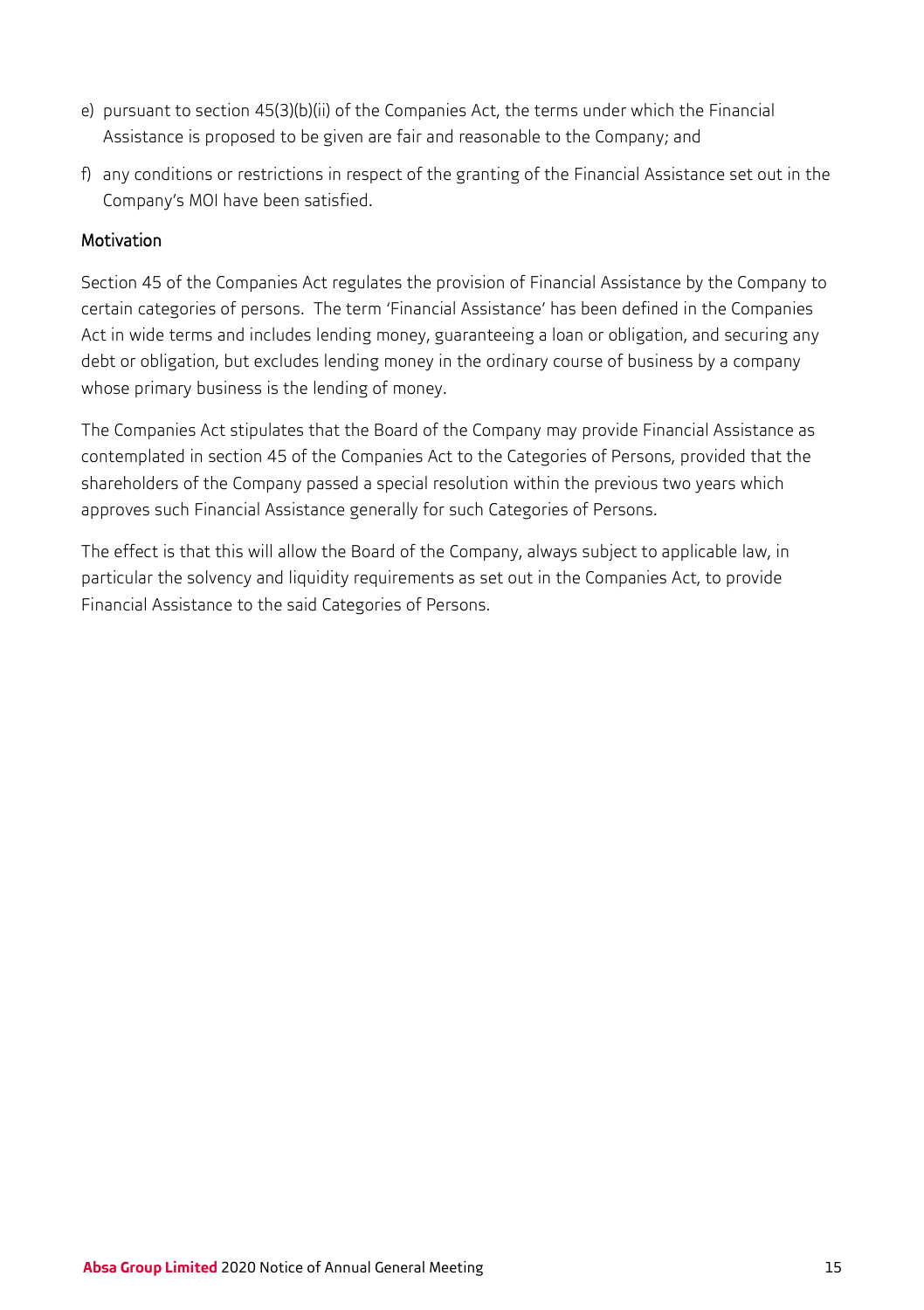- e) pursuant to section 45(3)(b)(ii) of the Companies Act, the terms under which the Financial Assistance is proposed to be given are fair and reasonable to the Company; and
- f) any conditions or restrictions in respect of the granting of the Financial Assistance set out in the Company's MOI have been satisfied.

### Motivation

Section 45 of the Companies Act regulates the provision of Financial Assistance by the Company to certain categories of persons. The term 'Financial Assistance' has been defined in the Companies Act in wide terms and includes lending money, guaranteeing a loan or obligation, and securing any debt or obligation, but excludes lending money in the ordinary course of business by a company whose primary business is the lending of money.

The Companies Act stipulates that the Board of the Company may provide Financial Assistance as contemplated in section 45 of the Companies Act to the Categories of Persons, provided that the shareholders of the Company passed a special resolution within the previous two years which approves such Financial Assistance generally for such Categories of Persons.

<span id="page-16-0"></span>The effect is that this will allow the Board of the Company, always subject to applicable law, in particular the solvency and liquidity requirements as set out in the Companies Act, to provide Financial Assistance to the said Categories of Persons.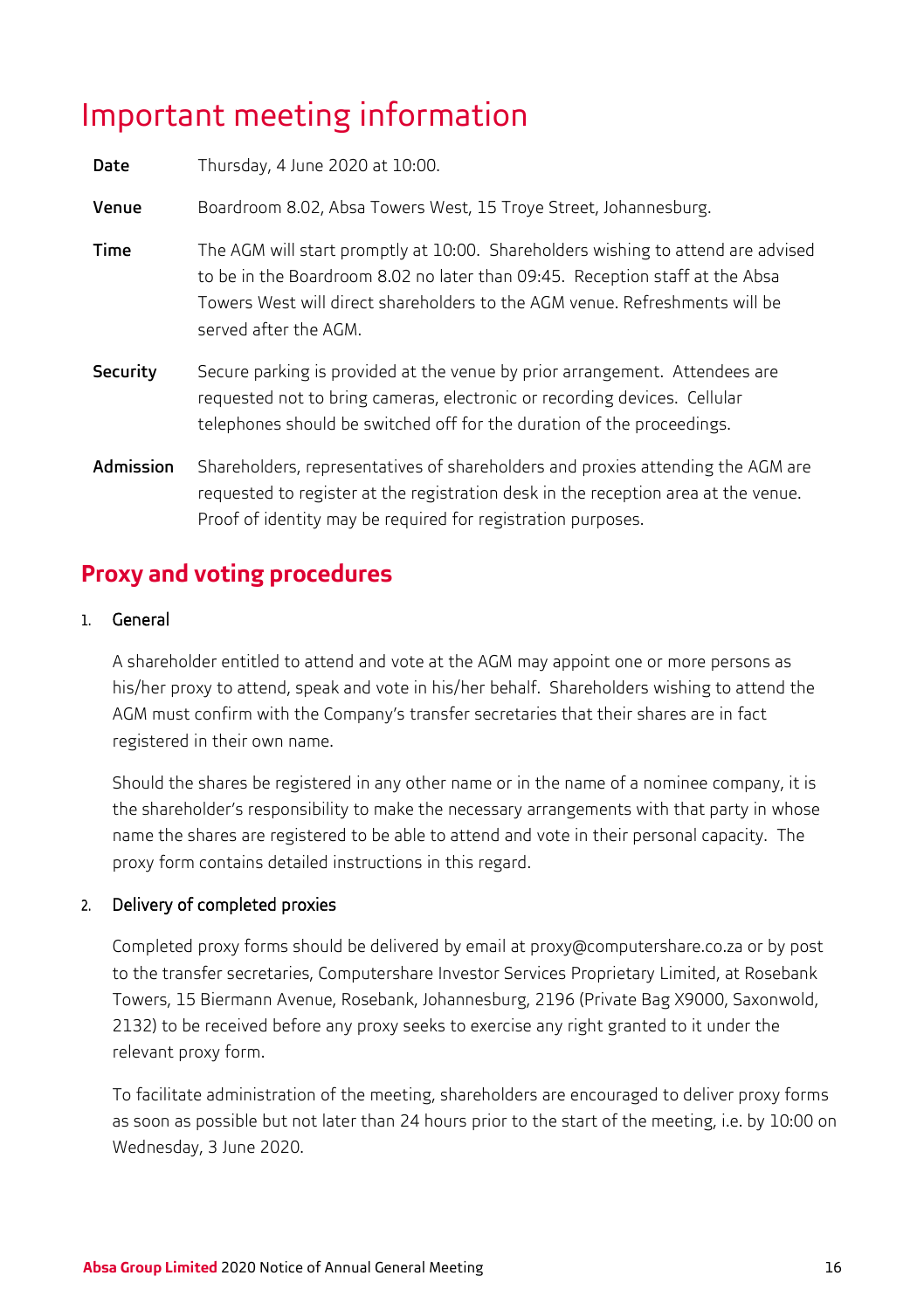## Important meeting information

| Date      | Thursday, 4 June 2020 at 10:00.                                                                                                                                                                                                                                          |
|-----------|--------------------------------------------------------------------------------------------------------------------------------------------------------------------------------------------------------------------------------------------------------------------------|
| Venue     | Boardroom 8.02, Absa Towers West, 15 Troye Street, Johannesburg.                                                                                                                                                                                                         |
| Time      | The AGM will start promptly at 10:00. Shareholders wishing to attend are advised<br>to be in the Boardroom 8.02 no later than 09:45. Reception staff at the Absa<br>Towers West will direct shareholders to the AGM venue. Refreshments will be<br>served after the AGM. |
| Security  | Secure parking is provided at the venue by prior arrangement. Attendees are<br>requested not to bring cameras, electronic or recording devices. Cellular<br>telephones should be switched off for the duration of the proceedings.                                       |
| Admission | Shareholders, representatives of shareholders and proxies attending the AGM are<br>requested to register at the registration desk in the reception area at the venue.<br>Proof of identity may be required for registration purposes.                                    |

## **Proxy and voting procedures**

#### 1. General

A shareholder entitled to attend and vote at the AGM may appoint one or more persons as his/her proxy to attend, speak and vote in his/her behalf. Shareholders wishing to attend the AGM must confirm with the Company's transfer secretaries that their shares are in fact registered in their own name.

Should the shares be registered in any other name or in the name of a nominee company, it is the shareholder's responsibility to make the necessary arrangements with that party in whose name the shares are registered to be able to attend and vote in their personal capacity. The proxy form contains detailed instructions in this regard.

### 2. Delivery of completed proxies

Completed proxy forms should be delivered by email at [proxy@computershare.co.za o](mailto:proxy@computershare.co.za)r by post to the transfer secretaries, Computershare Investor Services Proprietary Limited, at Rosebank Towers, 15 Biermann Avenue, Rosebank, Johannesburg, 2196 (Private Bag X9000, Saxonwold, 2132) to be received before any proxy seeks to exercise any right granted to it under the relevant proxy form.

To facilitate administration of the meeting, shareholders are encouraged to deliver proxy forms as soon as possible but not later than 24 hours prior to the start of the meeting, i.e. by 10:00 on Wednesday, 3 June 2020.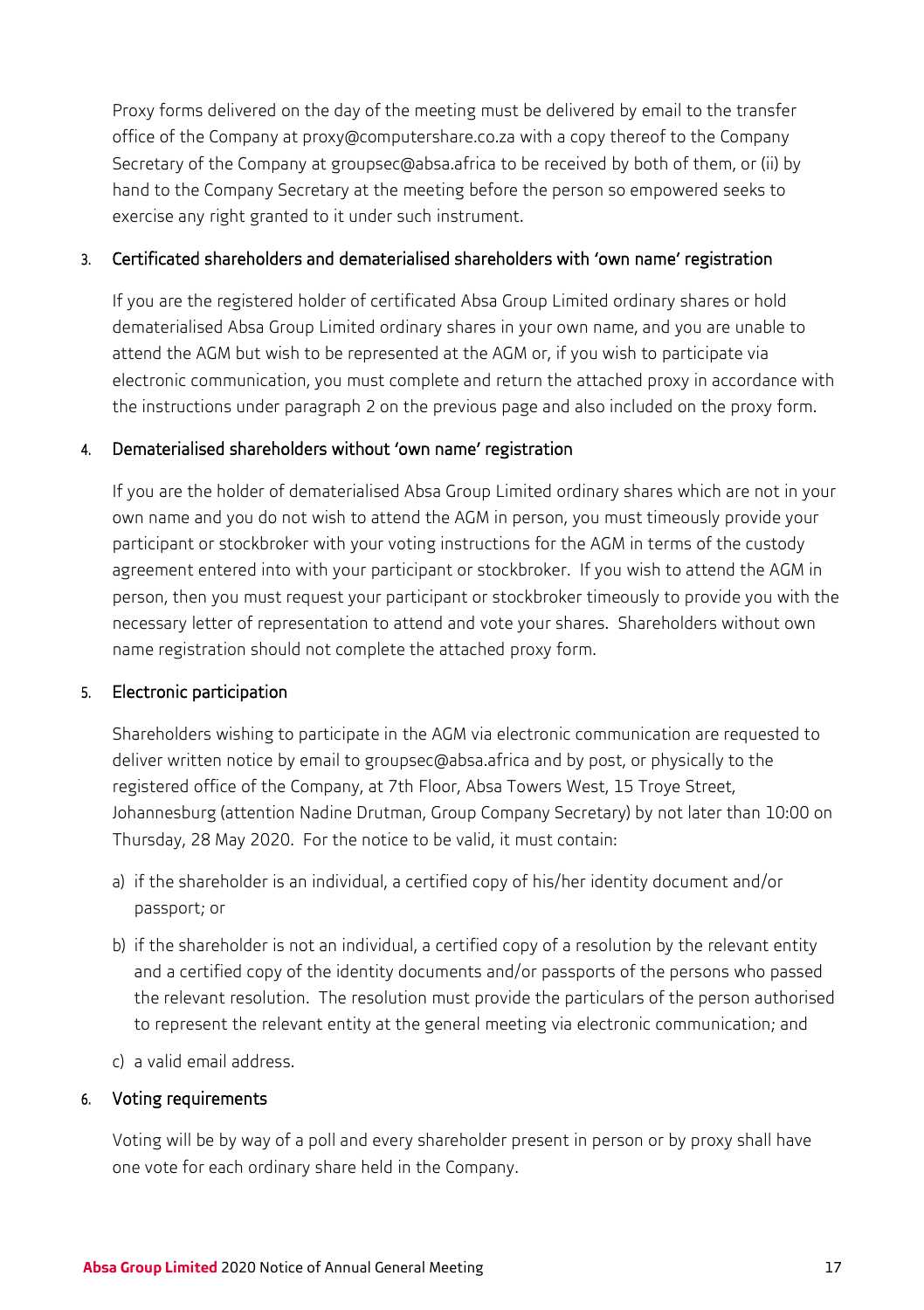Proxy forms delivered on the day of the meeting must be delivered by email to the transfer office of the Company a[t proxy@computershare.co.za](mailto:proxy@computershare.co.za) with a copy thereof to the Company Secretary of the Company a[t groupsec@absa.africa](mailto:groupsec@absa.africat) to be received by both of them, or (ii) by hand to the Company Secretary at the meeting before the person so empowered seeks to exercise any right granted to it under such instrument.

#### 3. Certificated shareholders and dematerialised shareholders with 'own name' registration

If you are the registered holder of certificated Absa Group Limited ordinary shares or hold dematerialised Absa Group Limited ordinary shares in your own name, and you are unable to attend the AGM but wish to be represented at the AGM or, if you wish to participate via electronic communication, you must complete and return the attached proxy in accordance with the instructions under paragraph 2 on the previous page and also included on the proxy form.

#### 4. Dematerialised shareholders without 'own name' registration

If you are the holder of dematerialised Absa Group Limited ordinary shares which are not in your own name and you do not wish to attend the AGM in person, you must timeously provide your participant or stockbroker with your voting instructions for the AGM in terms of the custody agreement entered into with your participant or stockbroker. If you wish to attend the AGM in person, then you must request your participant or stockbroker timeously to provide you with the necessary letter of representation to attend and vote your shares. Shareholders without own name registration should not complete the attached proxy form.

### 5. Electronic participation

Shareholders wishing to participate in the AGM via electronic communication are requested to deliver written notice by email t[o groupsec@absa.africa](mailto:groupsec@absa.africa) and by post, or physically to the registered office of the Company, at 7th Floor, Absa Towers West, 15 Troye Street, Johannesburg (attention Nadine Drutman, Group Company Secretary) by not later than 10:00 on Thursday, 28 May 2020. For the notice to be valid, it must contain:

- a) if the shareholder is an individual, a certified copy of his/her identity document and/or passport; or
- b) if the shareholder is not an individual, a certified copy of a resolution by the relevant entity and a certified copy of the identity documents and/or passports of the persons who passed the relevant resolution. The resolution must provide the particulars of the person authorised to represent the relevant entity at the general meeting via electronic communication; and
- c) a valid email address.

#### 6. Voting requirements

Voting will be by way of a poll and every shareholder present in person or by proxy shall have one vote for each ordinary share held in the Company.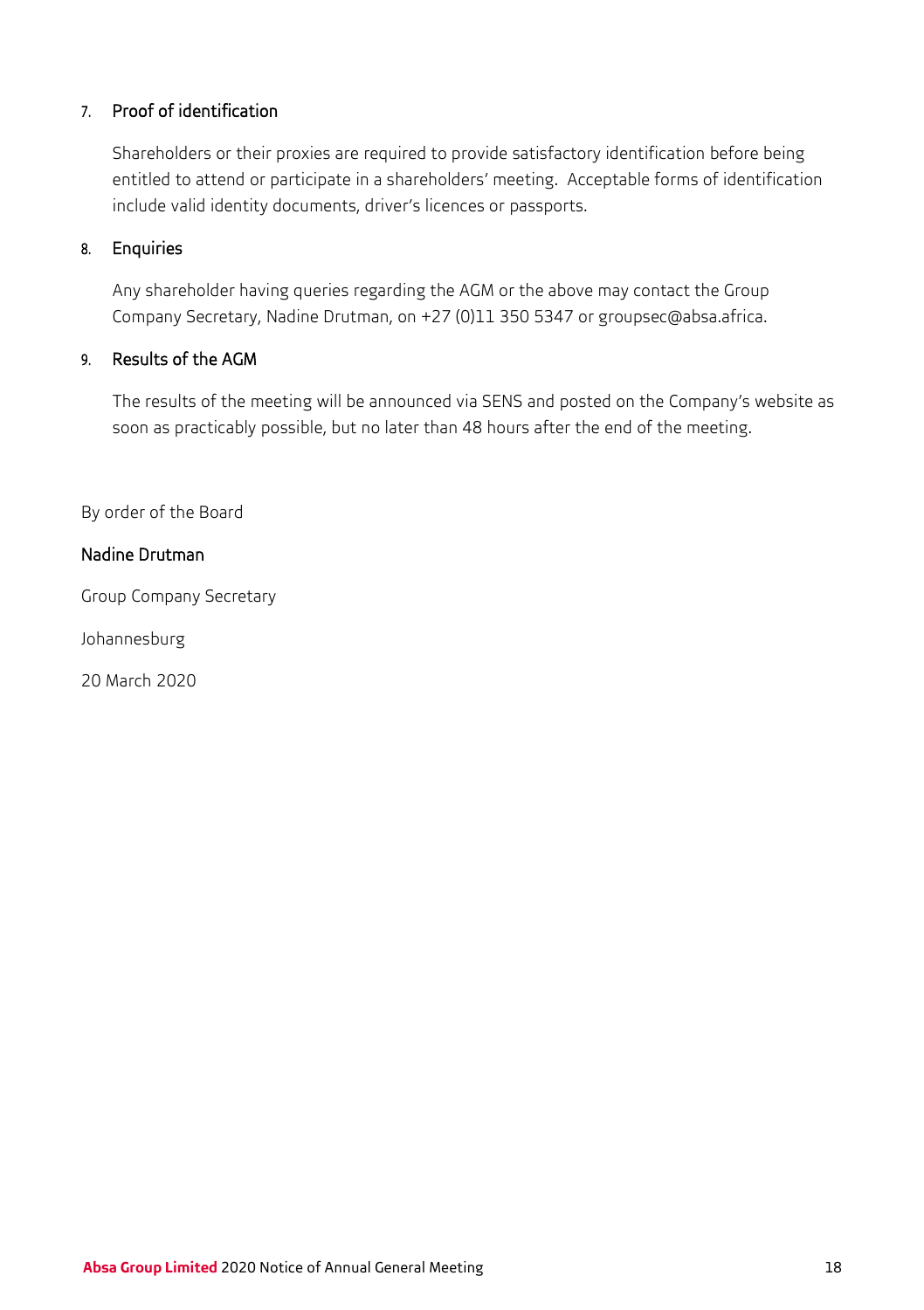### 7. Proof of identification

Shareholders or their proxies are required to provide satisfactory identification before being entitled to attend or participate in a shareholders' meeting. Acceptable forms of identification include valid identity documents, driver's licences or passports.

#### 8. Enquiries

Any shareholder having queries regarding the AGM or the above may contact the Group Company Secretary, Nadine Drutman, on +27 (0)11 350 5347 o[r groupsec@absa.africa.](mailto:groupsec@absa.africa)

## 9. Results of the AGM

The results of the meeting will be announced via SENS and posted on the Company's website as soon as practicably possible, but no later than 48 hours after the end of the meeting.

By order of the Board

## Nadine Drutman

Group Company Secretary

Johannesburg

20 March 2020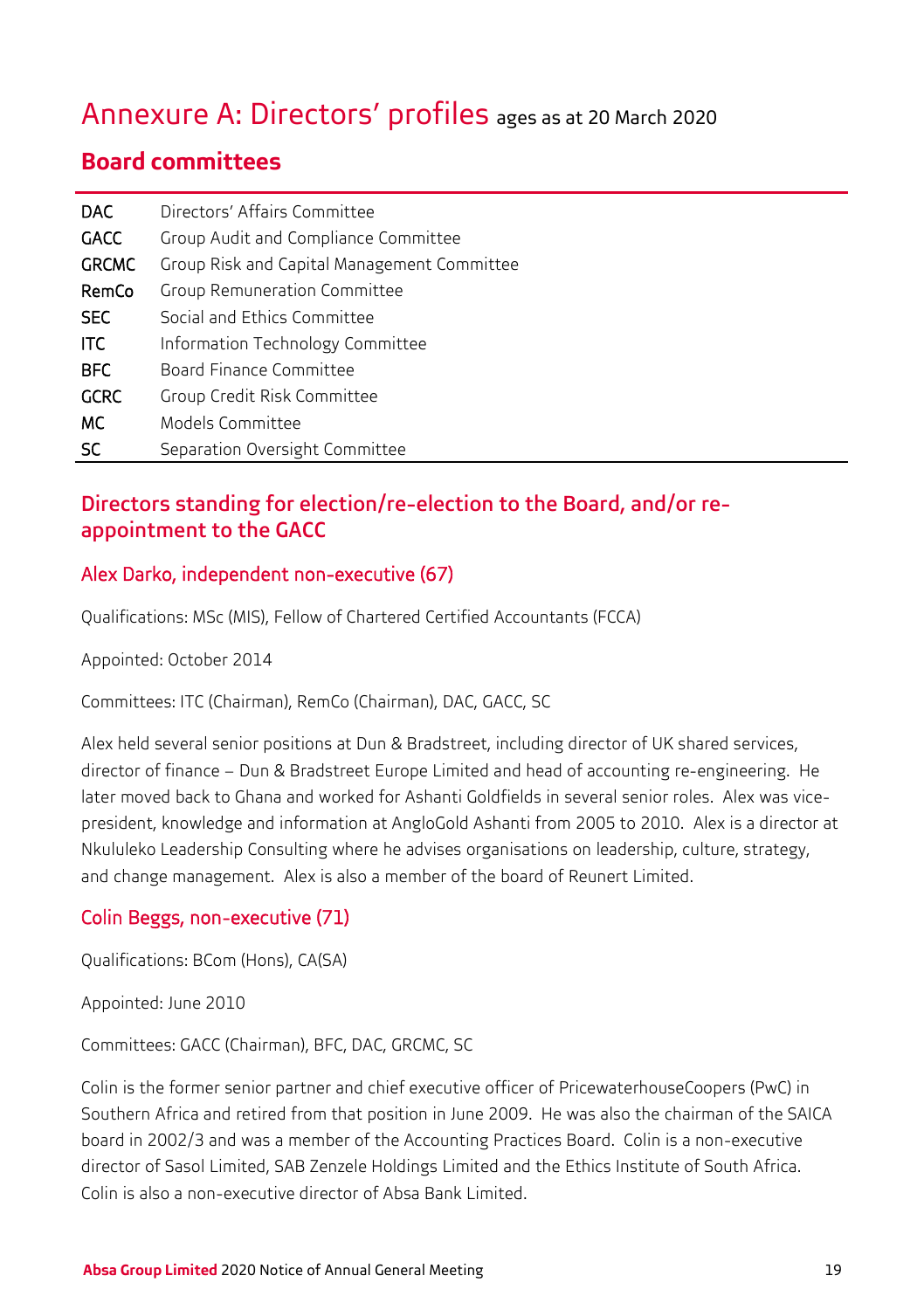## Annexure A: Directors' profiles ages as at 20 March 2020

## **Board committees**

| <b>DAC</b>   | Directors' Affairs Committee                |
|--------------|---------------------------------------------|
| GACC         | Group Audit and Compliance Committee        |
| <b>GRCMC</b> | Group Risk and Capital Management Committee |
| RemCo        | <b>Group Remuneration Committee</b>         |
| <b>SEC</b>   | Social and Ethics Committee                 |
| ITC          | Information Technology Committee            |
| <b>BFC</b>   | Board Finance Committee                     |
| <b>GCRC</b>  | Group Credit Risk Committee                 |
| МC           | Models Committee                            |
| SC           | Separation Oversight Committee              |

## Directors standing for election/re-election to the Board, and/or reappointment to the GACC

## Alex Darko, independent non-executive (67)

Qualifications: MSc (MIS), Fellow of Chartered Certified Accountants (FCCA)

Appointed: October 2014

Committees: ITC (Chairman), RemCo (Chairman), DAC, GACC, SC

Alex held several senior positions at Dun & Bradstreet, including director of UK shared services, director of finance – Dun & Bradstreet Europe Limited and head of accounting re-engineering. He later moved back to Ghana and worked for Ashanti Goldfields in several senior roles. Alex was vicepresident, knowledge and information at AngloGold Ashanti from 2005 to 2010. Alex is a director at Nkululeko Leadership Consulting where he advises organisations on leadership, culture, strategy, and change management. Alex is also a member of the board of Reunert Limited.

### Colin Beggs, non-executive (71)

Qualifications: BCom (Hons), CA(SA)

Appointed: June 2010

Committees: GACC (Chairman), BFC, DAC, GRCMC, SC

Colin is the former senior partner and chief executive officer of PricewaterhouseCoopers (PwC) in Southern Africa and retired from that position in June 2009. He was also the chairman of the SAICA board in 2002/3 and was a member of the Accounting Practices Board. Colin is a non-executive director of Sasol Limited, SAB Zenzele Holdings Limited and the Ethics Institute of South Africa. Colin is also a non-executive director of Absa Bank Limited.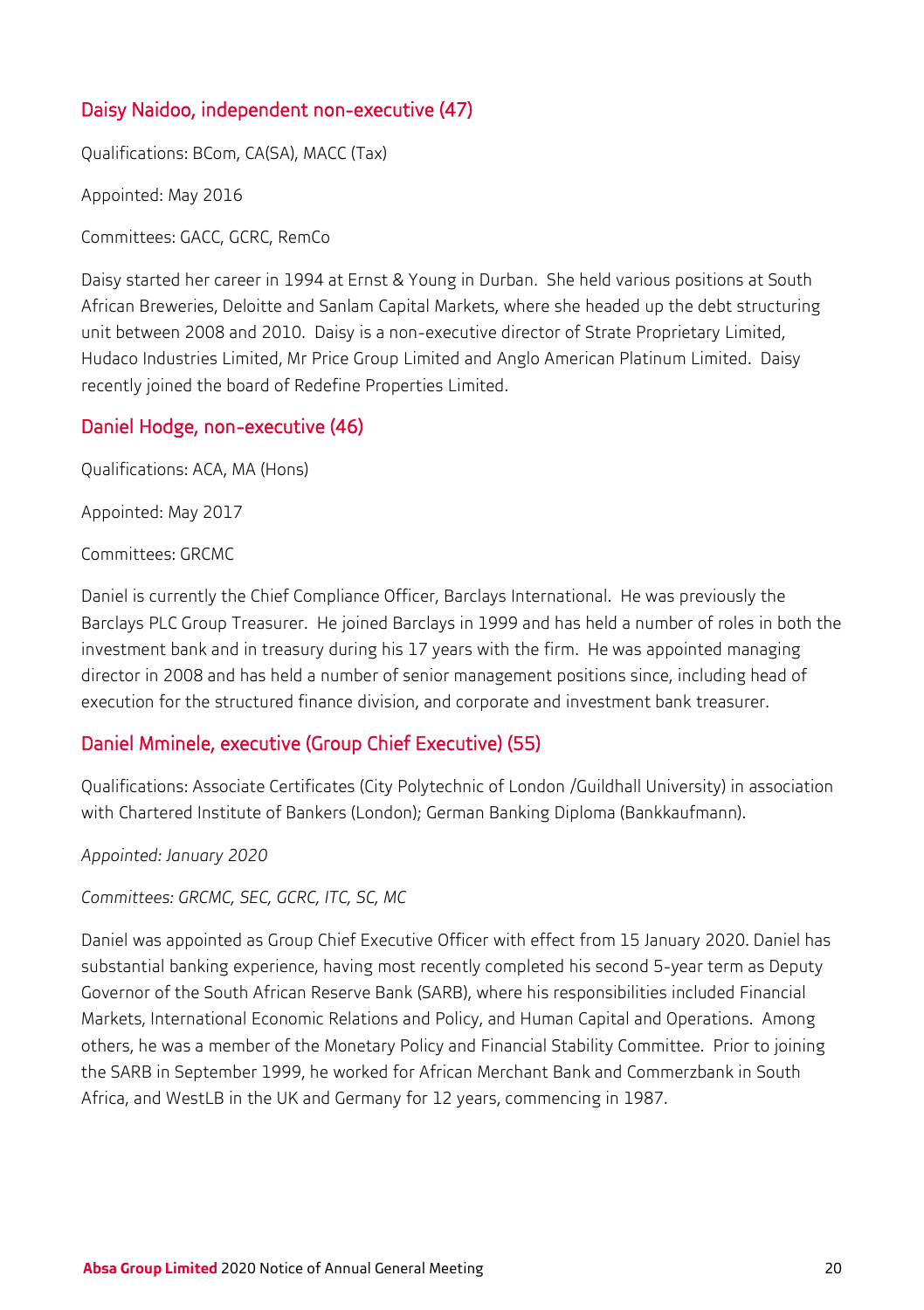## Daisy Naidoo, independent non-executive (47)

Qualifications: BCom, CA(SA), MACC (Tax)

Appointed: May 2016

Committees: GACC, GCRC, RemCo

Daisy started her career in 1994 at Ernst & Young in Durban. She held various positions at South African Breweries, Deloitte and Sanlam Capital Markets, where she headed up the debt structuring unit between 2008 and 2010. Daisy is a non-executive director of Strate Proprietary Limited, Hudaco Industries Limited, Mr Price Group Limited and Anglo American Platinum Limited. Daisy recently joined the board of Redefine Properties Limited.

### Daniel Hodge, non-executive (46)

Qualifications: ACA, MA (Hons)

Appointed: May 2017

Committees: GRCMC

Daniel is currently the Chief Compliance Officer, Barclays International. He was previously the Barclays PLC Group Treasurer. He joined Barclays in 1999 and has held a number of roles in both the investment bank and in treasury during his 17 years with the firm. He was appointed managing director in 2008 and has held a number of senior management positions since, including head of execution for the structured finance division, and corporate and investment bank treasurer.

## Daniel Mminele, executive (Group Chief Executive) (55)

Qualifications: Associate Certificates (City Polytechnic of London /Guildhall University) in association with Chartered Institute of Bankers (London); German Banking Diploma (Bankkaufmann).

*Appointed: January 2020*

*Committees: GRCMC, SEC, GCRC, ITC, SC, MC*

Daniel was appointed as Group Chief Executive Officer with effect from 15 January 2020. Daniel has substantial banking experience, having most recently completed his second 5-year term as Deputy Governor of the South African Reserve Bank (SARB), where his responsibilities included Financial Markets, International Economic Relations and Policy, and Human Capital and Operations. Among others, he was a member of the Monetary Policy and Financial Stability Committee. Prior to joining the SARB in September 1999, he worked for African Merchant Bank and Commerzbank in South Africa, and WestLB in the UK and Germany for 12 years, commencing in 1987.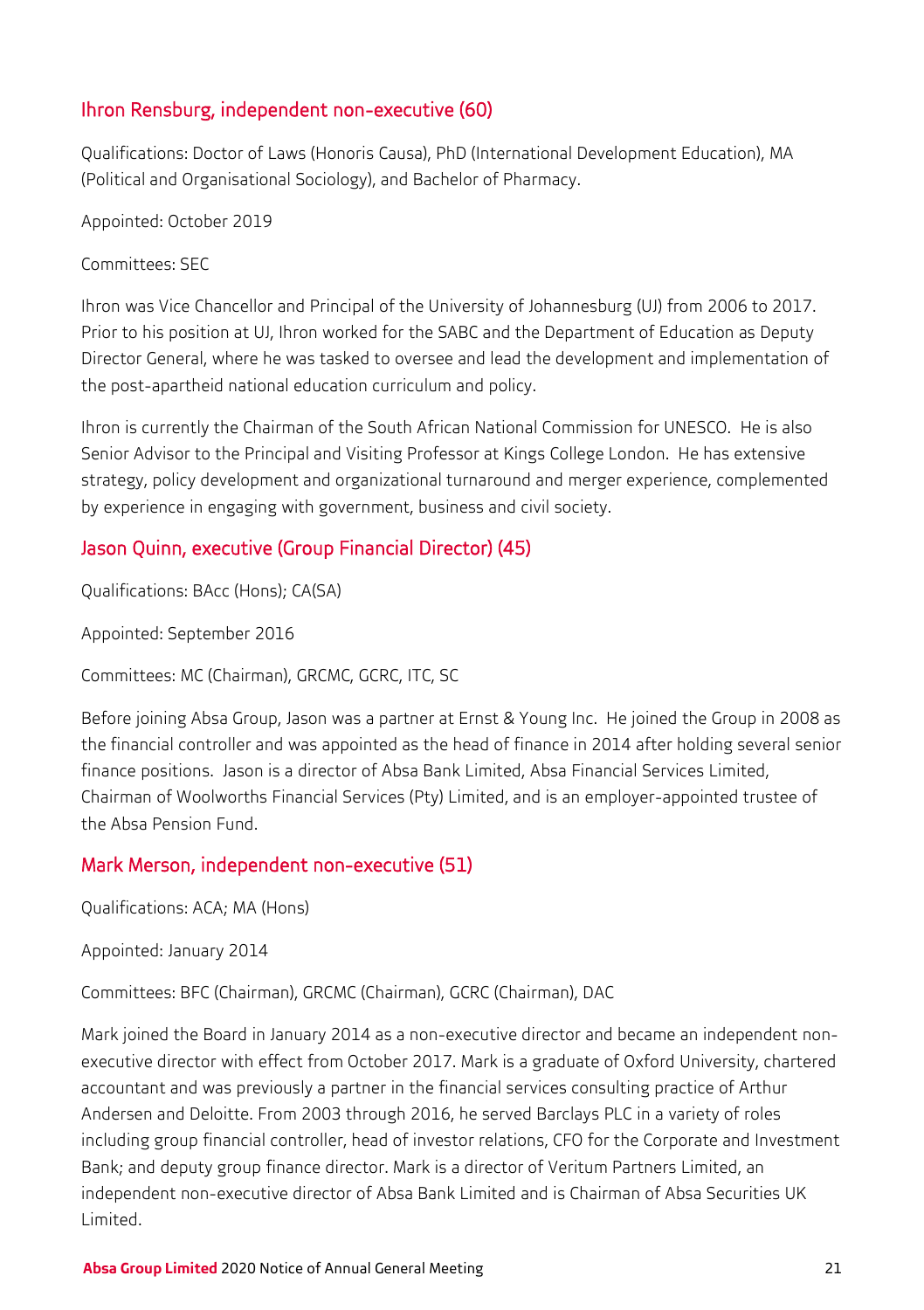## Ihron Rensburg, independent non-executive (60)

Qualifications: Doctor of Laws (Honoris Causa), PhD (International Development Education), MA (Political and Organisational Sociology), and Bachelor of Pharmacy.

Appointed: October 2019

Committees: SEC

Ihron was Vice Chancellor and Principal of the University of Johannesburg (UJ) from 2006 to 2017. Prior to his position at UJ, Ihron worked for the SABC and the Department of Education as Deputy Director General, where he was tasked to oversee and lead the development and implementation of the post-apartheid national education curriculum and policy.

Ihron is currently the Chairman of the South African National Commission for UNESCO. He is also Senior Advisor to the Principal and Visiting Professor at Kings College London. He has extensive strategy, policy development and organizational turnaround and merger experience, complemented by experience in engaging with government, business and civil society.

## Jason Quinn, executive (Group Financial Director) (45)

Qualifications: BAcc (Hons); CA(SA)

Appointed: September 2016

Committees: MC (Chairman), GRCMC, GCRC, ITC, SC

Before joining Absa Group, Jason was a partner at Ernst & Young Inc. He joined the Group in 2008 as the financial controller and was appointed as the head of finance in 2014 after holding several senior finance positions. Jason is a director of Absa Bank Limited, Absa Financial Services Limited, Chairman of Woolworths Financial Services (Pty) Limited, and is an employer-appointed trustee of the Absa Pension Fund.

## Mark Merson, independent non-executive (51)

Qualifications: ACA; MA (Hons)

Appointed: January 2014

Committees: BFC (Chairman), GRCMC (Chairman), GCRC (Chairman), DAC

Mark joined the Board in January 2014 as a non-executive director and became an independent nonexecutive director with effect from October 2017. Mark is a graduate of Oxford University, chartered accountant and was previously a partner in the financial services consulting practice of Arthur Andersen and Deloitte. From 2003 through 2016, he served Barclays PLC in a variety of roles including group financial controller, head of investor relations, CFO for the Corporate and Investment Bank; and deputy group finance director. Mark is a director of Veritum Partners Limited, an independent non-executive director of Absa Bank Limited and is Chairman of Absa Securities UK Limited.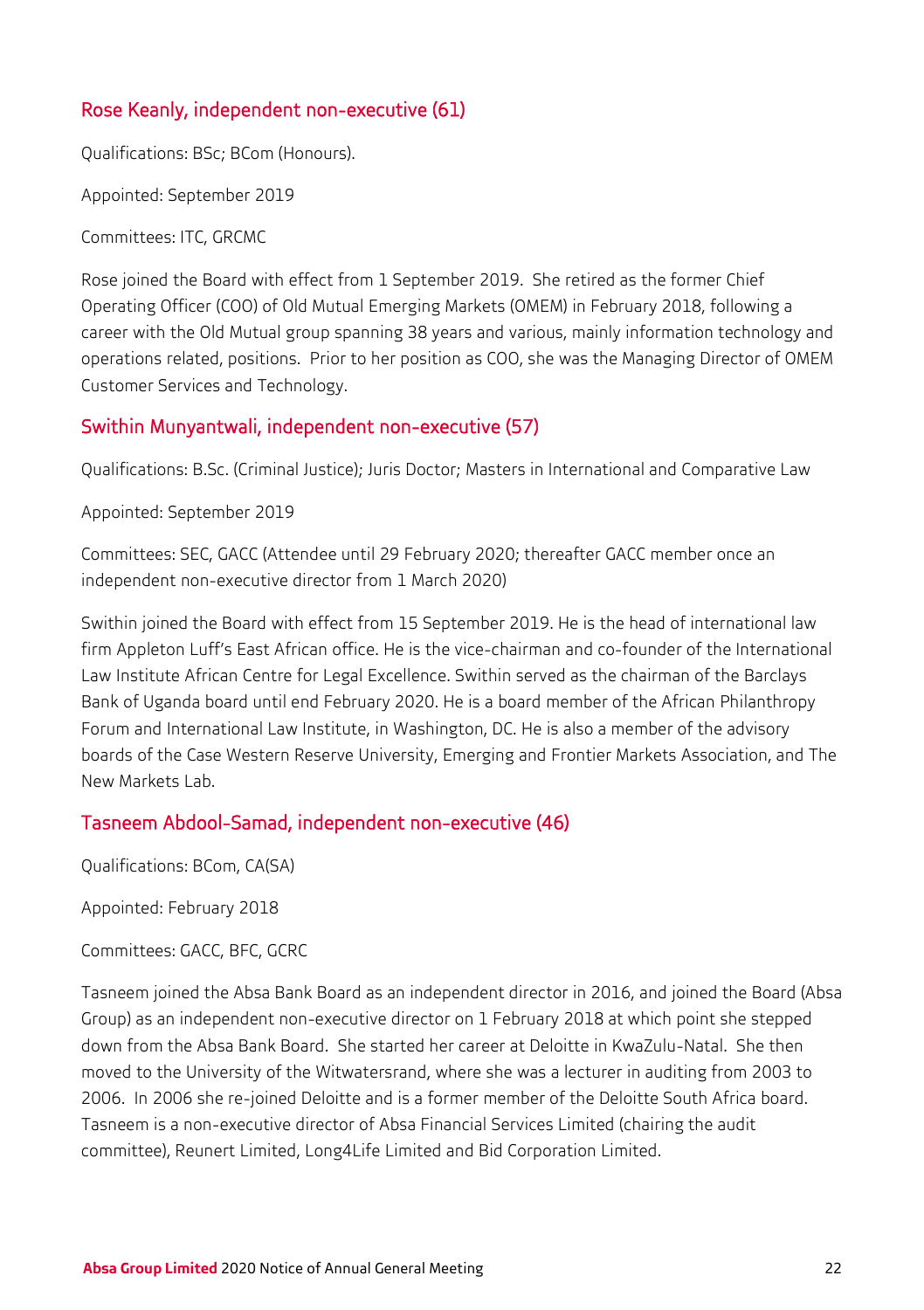## Rose Keanly, independent non-executive (61)

Qualifications: BSc; BCom (Honours).

Appointed: September 2019

Committees: ITC, GRCMC

Rose joined the Board with effect from 1 September 2019. She retired as the former Chief Operating Officer (COO) of Old Mutual Emerging Markets (OMEM) in February 2018, following a career with the Old Mutual group spanning 38 years and various, mainly information technology and operations related, positions. Prior to her position as COO, she was the Managing Director of OMEM Customer Services and Technology.

## Swithin Munyantwali, independent non-executive (57)

Qualifications: B.Sc. (Criminal Justice); Juris Doctor; Masters in International and Comparative Law

Appointed: September 2019

Committees: SEC, GACC (Attendee until 29 February 2020; thereafter GACC member once an independent non-executive director from 1 March 2020)

Swithin joined the Board with effect from 15 September 2019. He is the head of international law firm Appleton Luff's East African office. He is the vice-chairman and co-founder of the International Law Institute African Centre for Legal Excellence. Swithin served as the chairman of the Barclays Bank of Uganda board until end February 2020. He is a board member of the African Philanthropy Forum and International Law Institute, in Washington, DC. He is also a member of the advisory boards of the Case Western Reserve University, Emerging and Frontier Markets Association, and The New Markets Lab.

### Tasneem Abdool-Samad, independent non-executive (46)

Qualifications: BCom, CA(SA)

Appointed: February 2018

Committees: GACC, BFC, GCRC

Tasneem joined the Absa Bank Board as an independent director in 2016, and joined the Board (Absa Group) as an independent non-executive director on 1 February 2018 at which point she stepped down from the Absa Bank Board. She started her career at Deloitte in KwaZulu-Natal. She then moved to the University of the Witwatersrand, where she was a lecturer in auditing from 2003 to 2006. In 2006 she re-joined Deloitte and is a former member of the Deloitte South Africa board. Tasneem is a non-executive director of Absa Financial Services Limited (chairing the audit committee), Reunert Limited, Long4Life Limited and Bid Corporation Limited.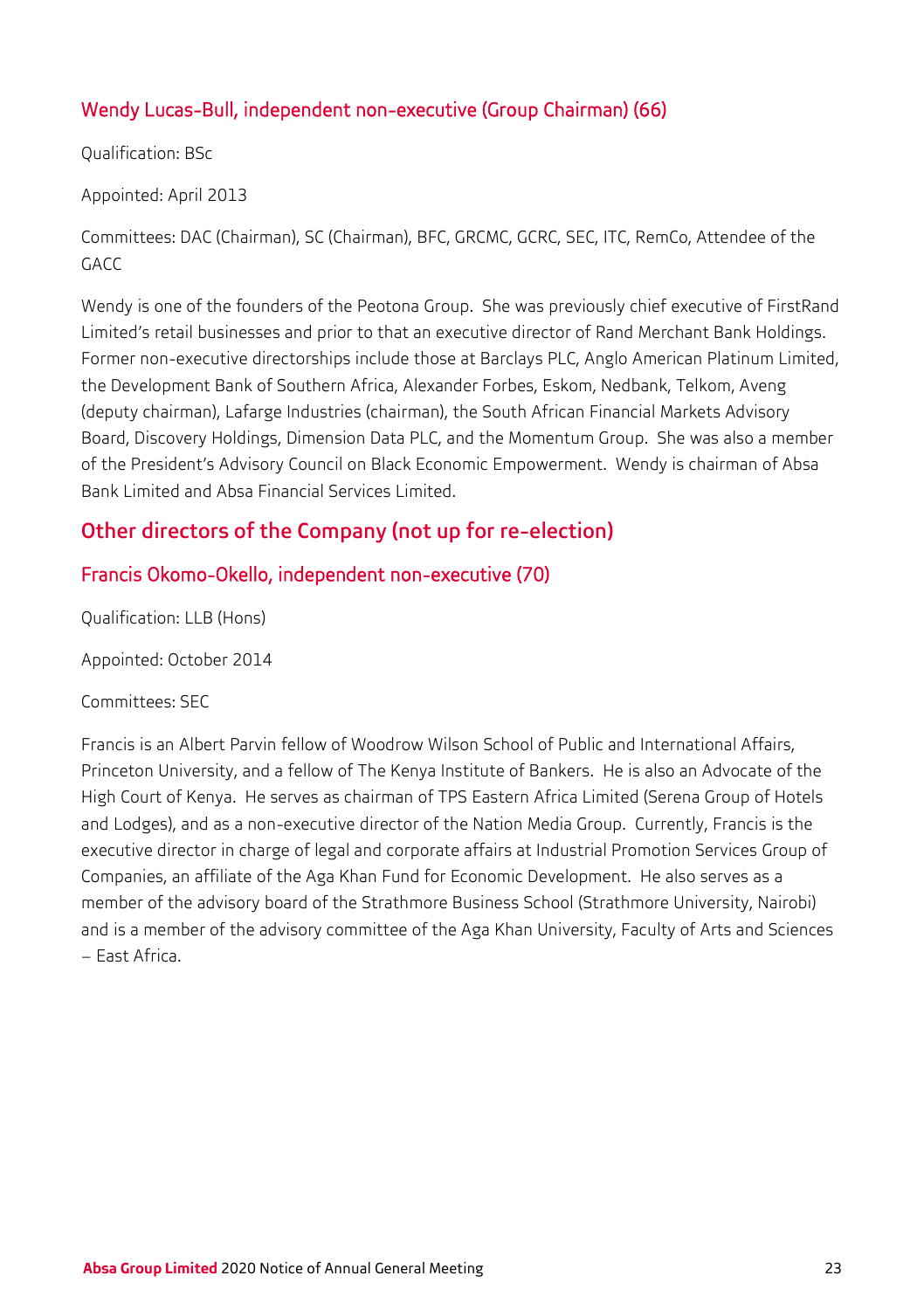## Wendy Lucas-Bull, independent non-executive (Group Chairman) (66)

Qualification: BSc

Appointed: April 2013

Committees: DAC (Chairman), SC (Chairman), BFC, GRCMC, GCRC, SEC, ITC, RemCo, Attendee of the GACC

Wendy is one of the founders of the Peotona Group. She was previously chief executive of FirstRand Limited's retail businesses and prior to that an executive director of Rand Merchant Bank Holdings. Former non-executive directorships include those at Barclays PLC, Anglo American Platinum Limited, the Development Bank of Southern Africa, Alexander Forbes, Eskom, Nedbank, Telkom, Aveng (deputy chairman), Lafarge Industries (chairman), the South African Financial Markets Advisory Board, Discovery Holdings, Dimension Data PLC, and the Momentum Group. She was also a member of the President's Advisory Council on Black Economic Empowerment. Wendy is chairman of Absa Bank Limited and Absa Financial Services Limited.

## Other directors of the Company (not up for re-election)

## Francis Okomo-Okello, independent non-executive (70)

Qualification: LLB (Hons)

Appointed: October 2014

Committees: SEC

Francis is an Albert Parvin fellow of Woodrow Wilson School of Public and International Affairs, Princeton University, and a fellow of The Kenya Institute of Bankers. He is also an Advocate of the High Court of Kenya. He serves as chairman of TPS Eastern Africa Limited (Serena Group of Hotels and Lodges), and as a non-executive director of the Nation Media Group. Currently, Francis is the executive director in charge of legal and corporate affairs at Industrial Promotion Services Group of Companies, an affiliate of the Aga Khan Fund for Economic Development. He also serves as a member of the advisory board of the Strathmore Business School (Strathmore University, Nairobi) and is a member of the advisory committee of the Aga Khan University, Faculty of Arts and Sciences – East Africa.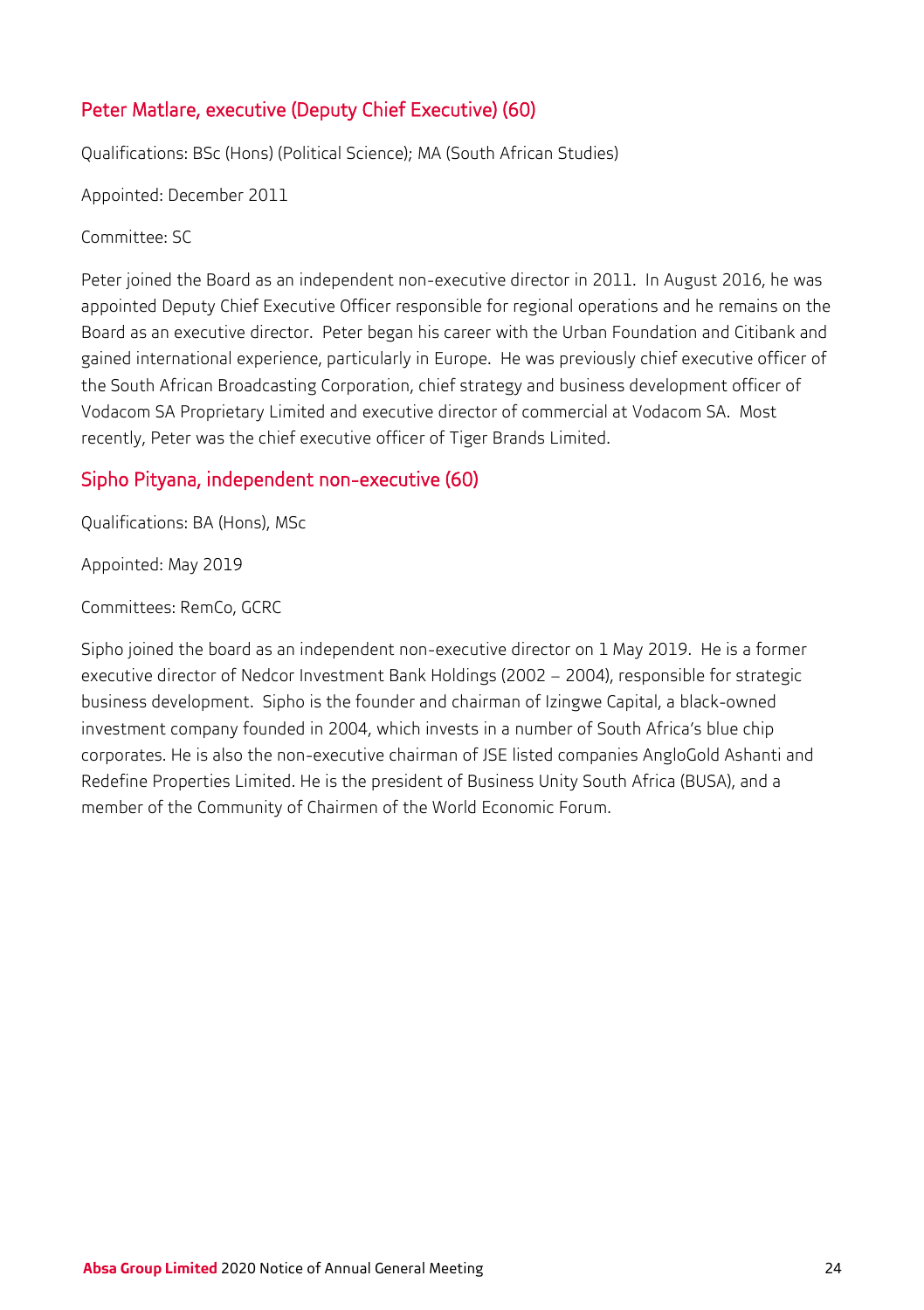## Peter Matlare, executive (Deputy Chief Executive) (60)

Qualifications: BSc (Hons) (Political Science); MA (South African Studies)

Appointed: December 2011

Committee: SC

Peter joined the Board as an independent non-executive director in 2011. In August 2016, he was appointed Deputy Chief Executive Officer responsible for regional operations and he remains on the Board as an executive director. Peter began his career with the Urban Foundation and Citibank and gained international experience, particularly in Europe. He was previously chief executive officer of the South African Broadcasting Corporation, chief strategy and business development officer of Vodacom SA Proprietary Limited and executive director of commercial at Vodacom SA. Most recently, Peter was the chief executive officer of Tiger Brands Limited.

## Sipho Pityana, independent non-executive (60)

Qualifications: BA (Hons), MSc

Appointed: May 2019

Committees: RemCo, GCRC

Sipho joined the board as an independent non-executive director on 1 May 2019. He is a former executive director of Nedcor Investment Bank Holdings (2002 – 2004), responsible for strategic business development. Sipho is the founder and chairman of Izingwe Capital, a black-owned investment company founded in 2004, which invests in a number of South Africa's blue chip corporates. He is also the non-executive chairman of JSE listed companies AngloGold Ashanti and Redefine Properties Limited. He is the president of Business Unity South Africa (BUSA), and a member of the Community of Chairmen of the World Economic Forum.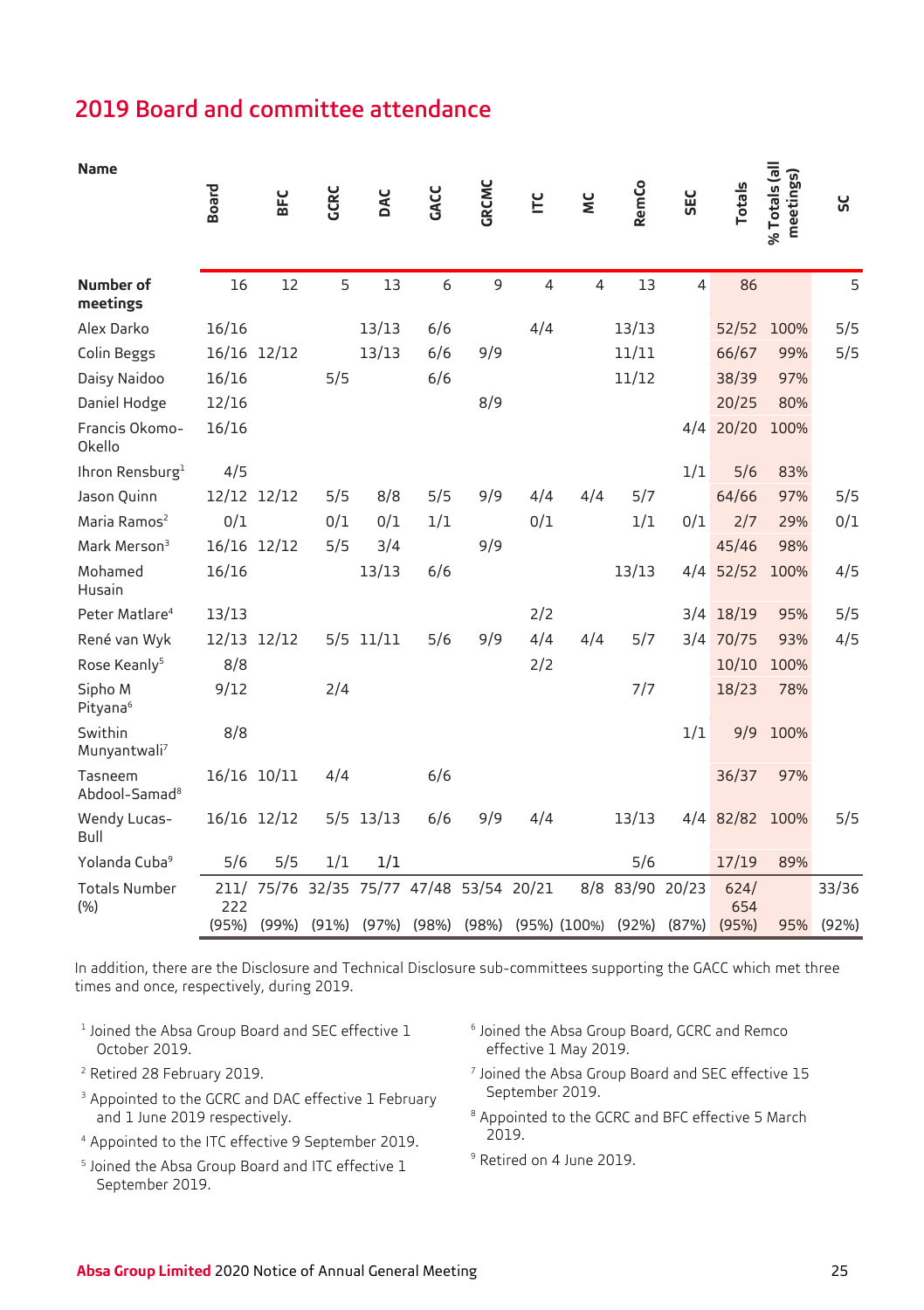## 2019 Board and committee attendance

| <b>Name</b>                          | <b>Board</b>         | BFC            | CRC            | DAC   | GACC  | <b>GRCMC</b> | Ĕ     | š                                       | RemCo          | <b>SEC</b>     | <b>Totals</b>        | % Totals (all<br>meetings) | ម្ល            |
|--------------------------------------|----------------------|----------------|----------------|-------|-------|--------------|-------|-----------------------------------------|----------------|----------------|----------------------|----------------------------|----------------|
| Number of<br>meetings                | 16                   | 12             | 5              | 13    | 6     | 9            | 4     | $\overline{4}$                          | 13             | $\overline{a}$ | 86                   |                            | 5              |
| Alex Darko                           | 16/16                |                |                | 13/13 | 6/6   |              | 4/4   |                                         | 13/13          |                | 52/52                | 100%                       | 5/5            |
| Colin Beggs                          | 16/16                | 12/12          |                | 13/13 | 6/6   | 9/9          |       |                                         | 11/11          |                | 66/67                | 99%                        | 5/5            |
| Daisy Naidoo                         | 16/16                |                | 5/5            |       | 6/6   |              |       |                                         | 11/12          |                | 38/39                | 97%                        |                |
| Daniel Hodge                         | 12/16                |                |                |       |       | 8/9          |       |                                         |                |                | 20/25                | 80%                        |                |
| Francis Okomo-<br>Okello             | 16/16                |                |                |       |       |              |       |                                         |                | 4/4            | 20/20                | 100%                       |                |
| Ihron Rensburg <sup>1</sup>          | 4/5                  |                |                |       |       |              |       |                                         |                | 1/1            | 5/6                  | 83%                        |                |
| Jason Quinn                          | 12/12                | 12/12          | 5/5            | 8/8   | 5/5   | 9/9          | 4/4   | 4/4                                     | 5/7            |                | 64/66                | 97%                        | 5/5            |
| Maria Ramos <sup>2</sup>             | 0/1                  |                | 0/1            | 0/1   | 1/1   |              | 0/1   |                                         | 1/1            | 0/1            | 2/7                  | 29%                        | 0/1            |
| Mark Merson <sup>3</sup>             | 16/16                | 12/12          | 5/5            | 3/4   |       | 9/9          |       |                                         |                |                | 45/46                | 98%                        |                |
| Mohamed<br>Husain                    | 16/16                |                |                | 13/13 | 6/6   |              |       |                                         | 13/13          | 4/4            | 52/52                | 100%                       | 4/5            |
| Peter Matlare <sup>4</sup>           | 13/13                |                |                |       |       |              | 2/2   |                                         |                | 3/4            | 18/19                | 95%                        | 5/5            |
| René van Wyk                         | 12/13                | 12/12          | 5/5            | 11/11 | 5/6   | 9/9          | 4/4   | 4/4                                     | 5/7            | 3/4            | 70/75                | 93%                        | 4/5            |
| Rose Keanly <sup>5</sup>             | 8/8                  |                |                |       |       |              | 2/2   |                                         |                |                | 10/10                | 100%                       |                |
| Sipho M<br>Pityana <sup>6</sup>      | 9/12                 |                | 2/4            |       |       |              |       |                                         | 7/7            |                | 18/23                | 78%                        |                |
| Swithin<br>Munyantwali <sup>7</sup>  | 8/8                  |                |                |       |       |              |       |                                         |                | 1/1            | 9/9                  | 100%                       |                |
| Tasneem<br>Abdool-Samad <sup>8</sup> | 16/16                | 10/11          | 4/4            |       | 6/6   |              |       |                                         |                |                | 36/37                | 97%                        |                |
| Wendy Lucas-<br>Bull                 | 16/16                | 12/12          | 5/5            | 13/13 | 6/6   | 9/9          | 4/4   |                                         | 13/13          | 4/4            | 82/82                | 100%                       | 5/5            |
| Yolanda Cuba <sup>9</sup>            | 5/6                  | 5/5            | 1/1            | 1/1   |       |              |       |                                         | 5/6            |                | 17/19                | 89%                        |                |
| <b>Totals Number</b><br>(% )         | 211/<br>222<br>(95%) | 75/76<br>(99%) | 32/35<br>(91%) | 75/77 | 47/48 | 53/54        | 20/21 | 8/8<br>$(97%)$ (98%) (98%) (95%) (100%) | 83/90<br>(92%) | 20/23<br>(87%) | 624/<br>654<br>(95%) | 95%                        | 33/36<br>(92%) |
|                                      |                      |                |                |       |       |              |       |                                         |                |                |                      |                            |                |

In addition, there are the Disclosure and Technical Disclosure sub-committees supporting the GACC which met three times and once, respectively, during 2019.

- <sup>1</sup> Joined the Absa Group Board and SEC effective 1 October 2019.
- <sup>2</sup> Retired 28 February 2019.
- <sup>3</sup> Appointed to the GCRC and DAC effective 1 February and 1 June 2019 respectively.
- <sup>4</sup> Appointed to the ITC effective 9 September 2019.
- <sup>5</sup> Joined the Absa Group Board and ITC effective 1 September 2019.
- <sup>6</sup> Joined the Absa Group Board, GCRC and Remco effective 1 May 2019.
- <sup>7</sup> Joined the Absa Group Board and SEC effective 15 September 2019.
- <sup>8</sup> Appointed to the GCRC and BFC effective 5 March 2019.
- <sup>9</sup> Retired on 4 June 2019.